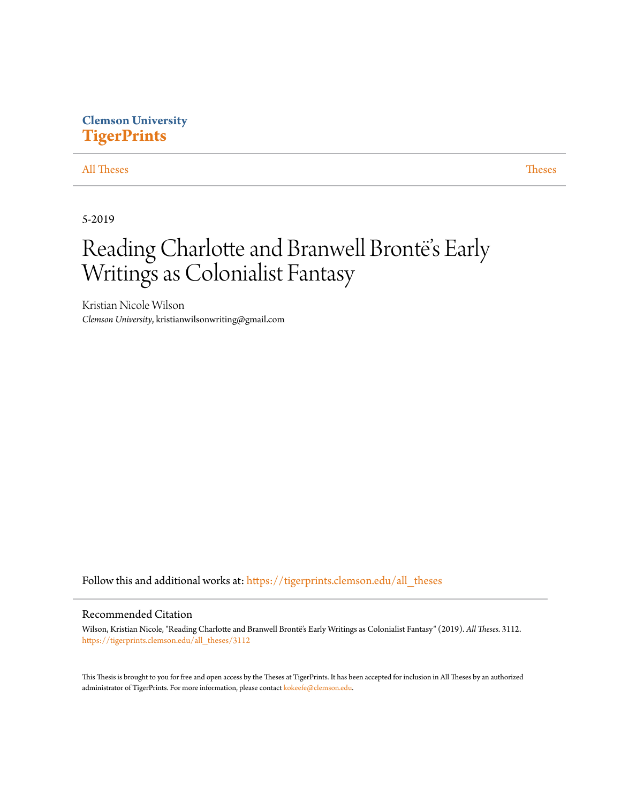# **Clemson University [TigerPrints](https://tigerprints.clemson.edu?utm_source=tigerprints.clemson.edu%2Fall_theses%2F3112&utm_medium=PDF&utm_campaign=PDFCoverPages)**

# [All Theses](https://tigerprints.clemson.edu/all_theses?utm_source=tigerprints.clemson.edu%2Fall_theses%2F3112&utm_medium=PDF&utm_campaign=PDFCoverPages) **[Theses](https://tigerprints.clemson.edu/theses?utm_source=tigerprints.clemson.edu%2Fall_theses%2F3112&utm_medium=PDF&utm_campaign=PDFCoverPages)**

5-2019

# Reading Charlotte and Branwell Brontë's Early Writings as Colonialist Fantasy

Kristian Nicole Wilson *Clemson University*, kristianwilsonwriting@gmail.com

Follow this and additional works at: [https://tigerprints.clemson.edu/all\\_theses](https://tigerprints.clemson.edu/all_theses?utm_source=tigerprints.clemson.edu%2Fall_theses%2F3112&utm_medium=PDF&utm_campaign=PDFCoverPages)

# Recommended Citation

Wilson, Kristian Nicole, "Reading Charlotte and Branwell Brontë's Early Writings as Colonialist Fantasy" (2019). *All Theses*. 3112. [https://tigerprints.clemson.edu/all\\_theses/3112](https://tigerprints.clemson.edu/all_theses/3112?utm_source=tigerprints.clemson.edu%2Fall_theses%2F3112&utm_medium=PDF&utm_campaign=PDFCoverPages)

This Thesis is brought to you for free and open access by the Theses at TigerPrints. It has been accepted for inclusion in All Theses by an authorized administrator of TigerPrints. For more information, please contact [kokeefe@clemson.edu](mailto:kokeefe@clemson.edu).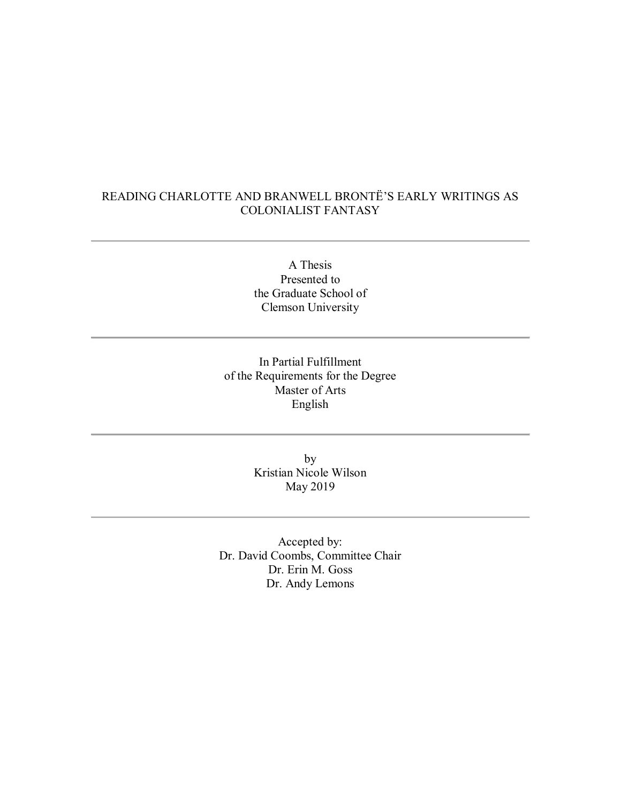# READING CHARLOTTE AND BRANWELL BRONTË'S EARLY WRITINGS AS COLONIALIST FANTASY

A Thesis Presented to the Graduate School of Clemson University

In Partial Fulfillment of the Requirements for the Degree Master of Arts English

> by Kristian Nicole Wilson May 2019

Accepted by: Dr. David Coombs, Committee Chair Dr. Erin M. Goss Dr. Andy Lemons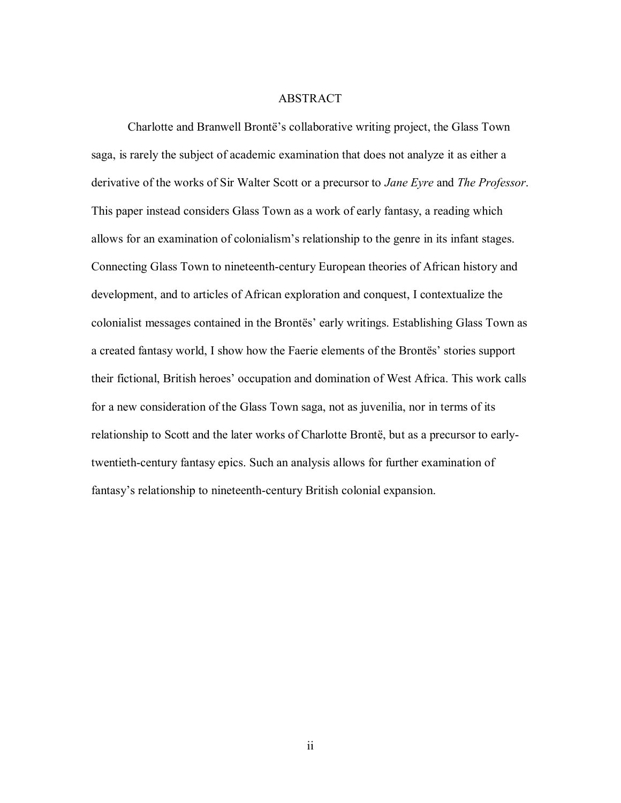#### ABSTRACT

Charlotte and Branwell Brontë's collaborative writing project, the Glass Town saga, is rarely the subject of academic examination that does not analyze it as either a derivative of the works of Sir Walter Scott or a precursor to *Jane Eyre* and *The Professor*. This paper instead considers Glass Town as a work of early fantasy, a reading which allows for an examination of colonialism's relationship to the genre in its infant stages. Connecting Glass Town to nineteenth-century European theories of African history and development, and to articles of African exploration and conquest, I contextualize the colonialist messages contained in the Brontës' early writings. Establishing Glass Town as a created fantasy world, I show how the Faerie elements of the Brontës' stories support their fictional, British heroes' occupation and domination of West Africa. This work calls for a new consideration of the Glass Town saga, not as juvenilia, nor in terms of its relationship to Scott and the later works of Charlotte Brontë, but as a precursor to earlytwentieth-century fantasy epics. Such an analysis allows for further examination of fantasy's relationship to nineteenth-century British colonial expansion.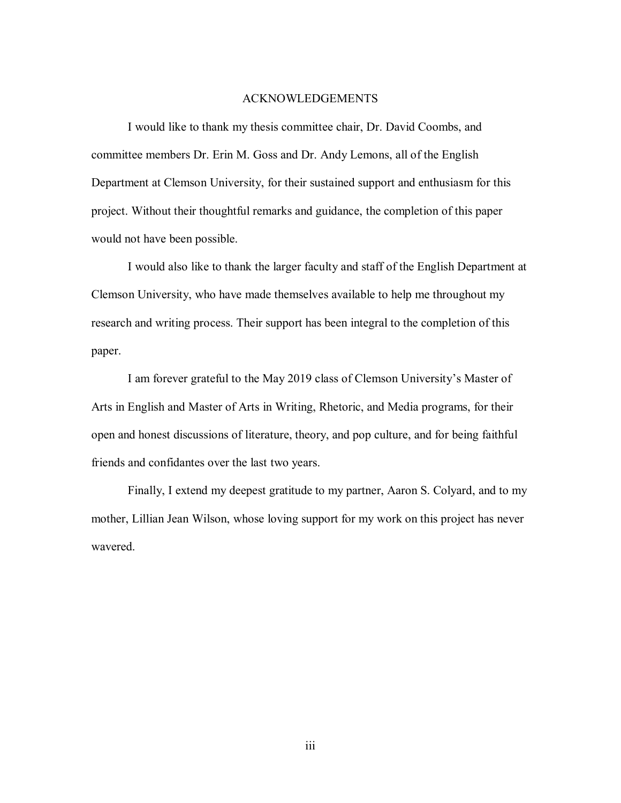#### ACKNOWLEDGEMENTS

I would like to thank my thesis committee chair, Dr. David Coombs, and committee members Dr. Erin M. Goss and Dr. Andy Lemons, all of the English Department at Clemson University, for their sustained support and enthusiasm for this project. Without their thoughtful remarks and guidance, the completion of this paper would not have been possible.

I would also like to thank the larger faculty and staff of the English Department at Clemson University, who have made themselves available to help me throughout my research and writing process. Their support has been integral to the completion of this paper.

I am forever grateful to the May 2019 class of Clemson University's Master of Arts in English and Master of Arts in Writing, Rhetoric, and Media programs, for their open and honest discussions of literature, theory, and pop culture, and for being faithful friends and confidantes over the last two years.

Finally, I extend my deepest gratitude to my partner, Aaron S. Colyard, and to my mother, Lillian Jean Wilson, whose loving support for my work on this project has never wavered.

iii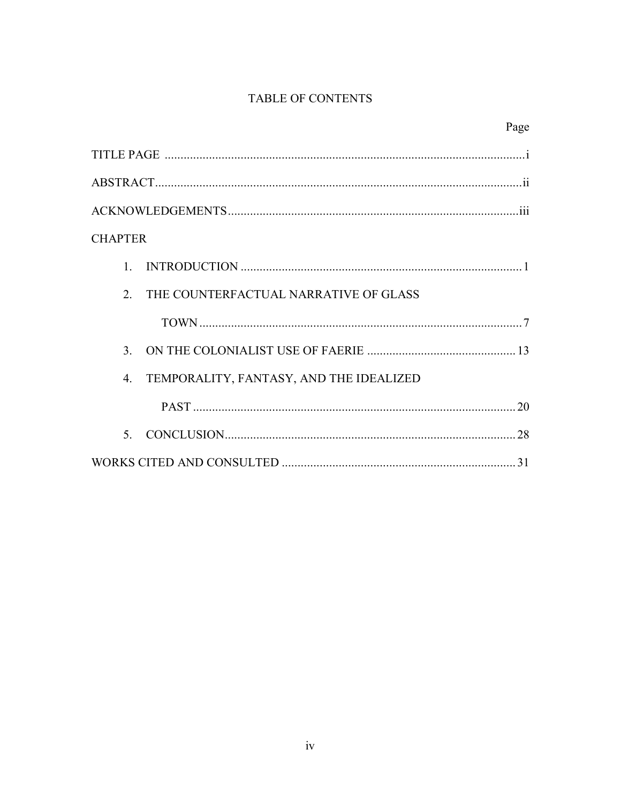# TABLE OF CONTENTS

| Page                                                        |
|-------------------------------------------------------------|
|                                                             |
|                                                             |
|                                                             |
| <b>CHAPTER</b>                                              |
| $\mathbf{1}$                                                |
| 2.<br>THE COUNTERFACTUAL NARRATIVE OF GLASS                 |
|                                                             |
| 3 <sub>1</sub>                                              |
| $\overline{4}$ .<br>TEMPORALITY, FANTASY, AND THE IDEALIZED |
|                                                             |
| $\sim$                                                      |
|                                                             |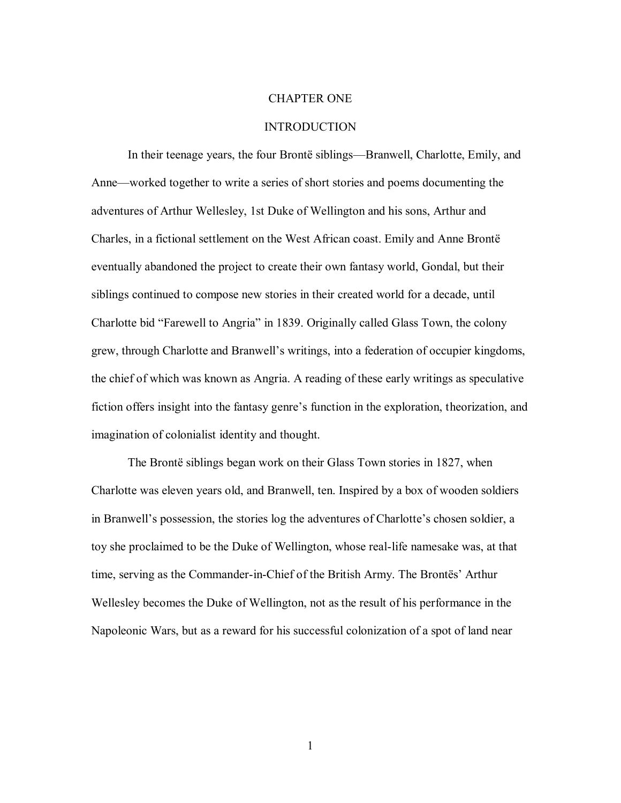## CHAPTER ONE

# INTRODUCTION

In their teenage years, the four Brontë siblings—Branwell, Charlotte, Emily, and Anne—worked together to write a series of short stories and poems documenting the adventures of Arthur Wellesley, 1st Duke of Wellington and his sons, Arthur and Charles, in a fictional settlement on the West African coast. Emily and Anne Brontë eventually abandoned the project to create their own fantasy world, Gondal, but their siblings continued to compose new stories in their created world for a decade, until Charlotte bid "Farewell to Angria" in 1839. Originally called Glass Town, the colony grew, through Charlotte and Branwell's writings, into a federation of occupier kingdoms, the chief of which was known as Angria. A reading of these early writings as speculative fiction offers insight into the fantasy genre's function in the exploration, theorization, and imagination of colonialist identity and thought.

The Brontë siblings began work on their Glass Town stories in 1827, when Charlotte was eleven years old, and Branwell, ten. Inspired by a box of wooden soldiers in Branwell's possession, the stories log the adventures of Charlotte's chosen soldier, a toy she proclaimed to be the Duke of Wellington, whose real-life namesake was, at that time, serving as the Commander-in-Chief of the British Army. The Brontës' Arthur Wellesley becomes the Duke of Wellington, not as the result of his performance in the Napoleonic Wars, but as a reward for his successful colonization of a spot of land near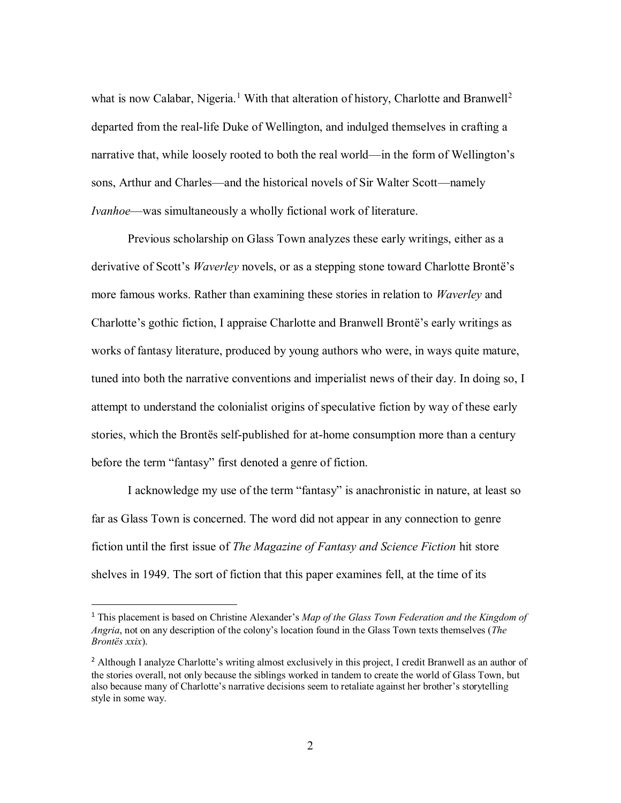what is now Calabar, Nigeria.<sup>1</sup> With that alteration of history, Charlotte and Branwell<sup>2</sup> departed from the real-life Duke of Wellington, and indulged themselves in crafting a narrative that, while loosely rooted to both the real world—in the form of Wellington's sons, Arthur and Charles—and the historical novels of Sir Walter Scott—namely *Ivanhoe*—was simultaneously a wholly fictional work of literature.

Previous scholarship on Glass Town analyzes these early writings, either as a derivative of Scott's *Waverley* novels, or as a stepping stone toward Charlotte Brontë's more famous works. Rather than examining these stories in relation to *Waverley* and Charlotte's gothic fiction, I appraise Charlotte and Branwell Brontë's early writings as works of fantasy literature, produced by young authors who were, in ways quite mature, tuned into both the narrative conventions and imperialist news of their day. In doing so, I attempt to understand the colonialist origins of speculative fiction by way of these early stories, which the Brontës self-published for at-home consumption more than a century before the term "fantasy" first denoted a genre of fiction.

I acknowledge my use of the term "fantasy" is anachronistic in nature, at least so far as Glass Town is concerned. The word did not appear in any connection to genre fiction until the first issue of *The Magazine of Fantasy and Science Fiction* hit store shelves in 1949. The sort of fiction that this paper examines fell, at the time of its

 $\overline{\phantom{a}}$ 

<sup>1</sup> This placement is based on Christine Alexander's *Map of the Glass Town Federation and the Kingdom of Angria*, not on any description of the colony's location found in the Glass Town texts themselves (*The Brontës xxix*).

<sup>&</sup>lt;sup>2</sup> Although I analyze Charlotte's writing almost exclusively in this project, I credit Branwell as an author of the stories overall, not only because the siblings worked in tandem to create the world of Glass Town, but also because many of Charlotte's narrative decisions seem to retaliate against her brother's storytelling style in some way.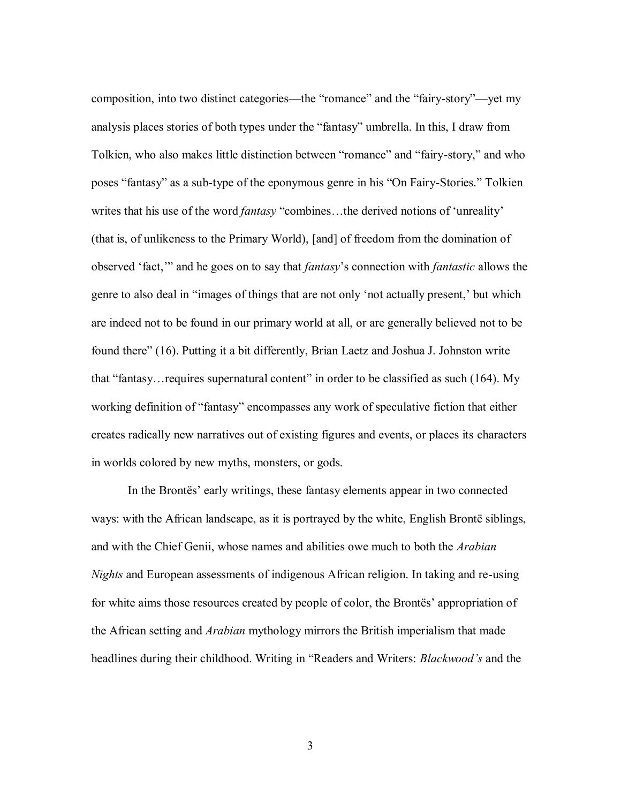composition, into two distinct categories—the "romance" and the "fairy-story"—yet my analysis places stories of both types under the "fantasy" umbrella. In this, I draw from Tolkien, who also makes little distinction between "romance" and "fairy-story," and who poses "fantasy" as a sub-type of the eponymous genre in his "On Fairy-Stories." Tolkien writes that his use of the word *fantasy* "combines…the derived notions of 'unreality' (that is, of unlikeness to the Primary World), [and] of freedom from the domination of observed 'fact,'" and he goes on to say that *fantasy*'s connection with *fantastic* allows the genre to also deal in "images of things that are not only 'not actually present,' but which are indeed not to be found in our primary world at all, or are generally believed not to be found there" (16). Putting it a bit differently, Brian Laetz and Joshua J. Johnston write that "fantasy…requires supernatural content" in order to be classified as such (164). My working definition of "fantasy" encompasses any work of speculative fiction that either creates radically new narratives out of existing figures and events, or places its characters in worlds colored by new myths, monsters, or gods.

In the Brontës' early writings, these fantasy elements appear in two connected ways: with the African landscape, as it is portrayed by the white, English Brontë siblings, and with the Chief Genii, whose names and abilities owe much to both the *Arabian Nights* and European assessments of indigenous African religion. In taking and re-using for white aims those resources created by people of color, the Brontës' appropriation of the African setting and *Arabian* mythology mirrors the British imperialism that made headlines during their childhood. Writing in "Readers and Writers: *Blackwood's* and the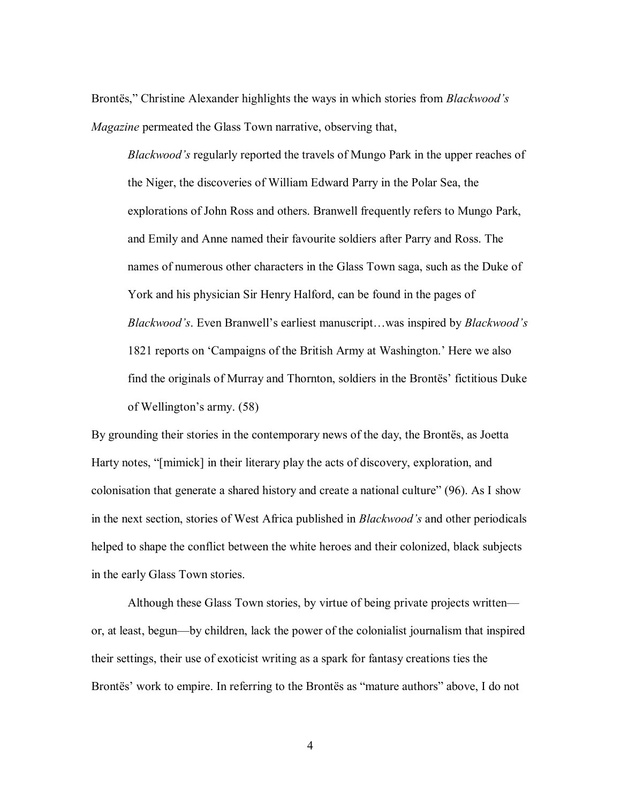Brontës," Christine Alexander highlights the ways in which stories from *Blackwood's Magazine* permeated the Glass Town narrative, observing that,

*Blackwood's* regularly reported the travels of Mungo Park in the upper reaches of the Niger, the discoveries of William Edward Parry in the Polar Sea, the explorations of John Ross and others. Branwell frequently refers to Mungo Park, and Emily and Anne named their favourite soldiers after Parry and Ross. The names of numerous other characters in the Glass Town saga, such as the Duke of York and his physician Sir Henry Halford, can be found in the pages of *Blackwood's*. Even Branwell's earliest manuscript…was inspired by *Blackwood's* 1821 reports on 'Campaigns of the British Army at Washington.' Here we also find the originals of Murray and Thornton, soldiers in the Brontës' fictitious Duke of Wellington's army. (58)

By grounding their stories in the contemporary news of the day, the Brontës, as Joetta Harty notes, "[mimick] in their literary play the acts of discovery, exploration, and colonisation that generate a shared history and create a national culture" (96). As I show in the next section, stories of West Africa published in *Blackwood's* and other periodicals helped to shape the conflict between the white heroes and their colonized, black subjects in the early Glass Town stories.

Although these Glass Town stories, by virtue of being private projects written or, at least, begun—by children, lack the power of the colonialist journalism that inspired their settings, their use of exoticist writing as a spark for fantasy creations ties the Brontës' work to empire. In referring to the Brontës as "mature authors" above, I do not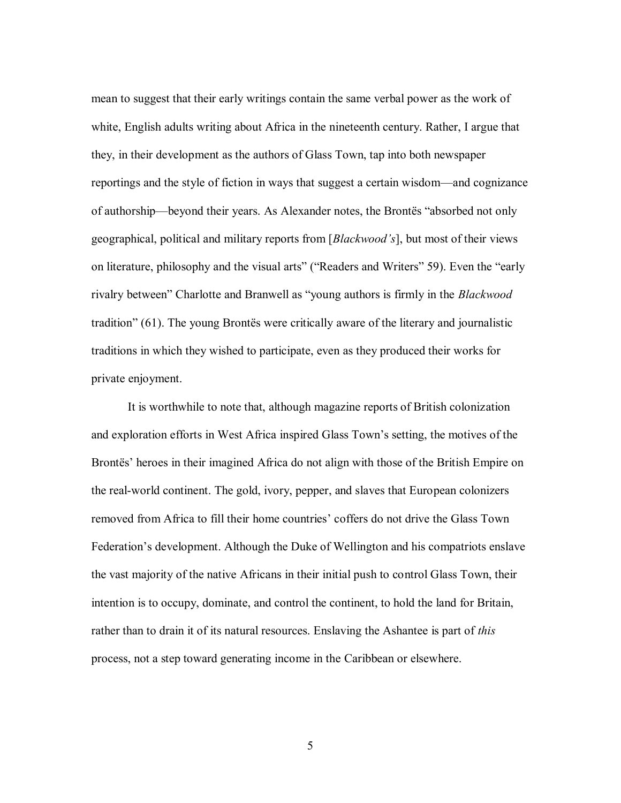mean to suggest that their early writings contain the same verbal power as the work of white, English adults writing about Africa in the nineteenth century. Rather, I argue that they, in their development as the authors of Glass Town, tap into both newspaper reportings and the style of fiction in ways that suggest a certain wisdom—and cognizance of authorship—beyond their years. As Alexander notes, the Brontës "absorbed not only geographical, political and military reports from [*Blackwood's*], but most of their views on literature, philosophy and the visual arts" ("Readers and Writers" 59). Even the "early rivalry between" Charlotte and Branwell as "young authors is firmly in the *Blackwood* tradition" (61). The young Brontës were critically aware of the literary and journalistic traditions in which they wished to participate, even as they produced their works for private enjoyment.

It is worthwhile to note that, although magazine reports of British colonization and exploration efforts in West Africa inspired Glass Town's setting, the motives of the Brontës' heroes in their imagined Africa do not align with those of the British Empire on the real-world continent. The gold, ivory, pepper, and slaves that European colonizers removed from Africa to fill their home countries' coffers do not drive the Glass Town Federation's development. Although the Duke of Wellington and his compatriots enslave the vast majority of the native Africans in their initial push to control Glass Town, their intention is to occupy, dominate, and control the continent, to hold the land for Britain, rather than to drain it of its natural resources. Enslaving the Ashantee is part of *this* process, not a step toward generating income in the Caribbean or elsewhere.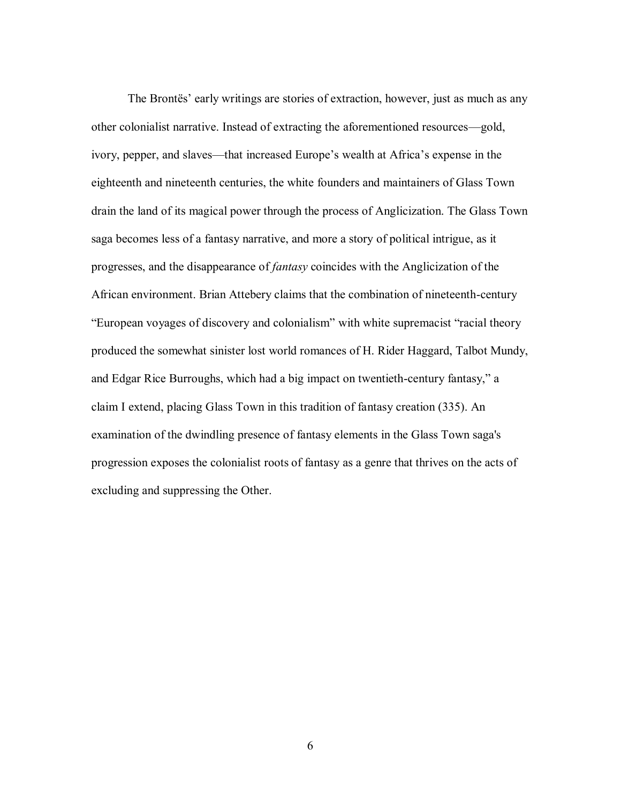The Brontës' early writings are stories of extraction, however, just as much as any other colonialist narrative. Instead of extracting the aforementioned resources—gold, ivory, pepper, and slaves—that increased Europe's wealth at Africa's expense in the eighteenth and nineteenth centuries, the white founders and maintainers of Glass Town drain the land of its magical power through the process of Anglicization. The Glass Town saga becomes less of a fantasy narrative, and more a story of political intrigue, as it progresses, and the disappearance of *fantasy* coincides with the Anglicization of the African environment. Brian Attebery claims that the combination of nineteenth-century "European voyages of discovery and colonialism" with white supremacist "racial theory produced the somewhat sinister lost world romances of H. Rider Haggard, Talbot Mundy, and Edgar Rice Burroughs, which had a big impact on twentieth-century fantasy," a claim I extend, placing Glass Town in this tradition of fantasy creation (335). An examination of the dwindling presence of fantasy elements in the Glass Town saga's progression exposes the colonialist roots of fantasy as a genre that thrives on the acts of excluding and suppressing the Other.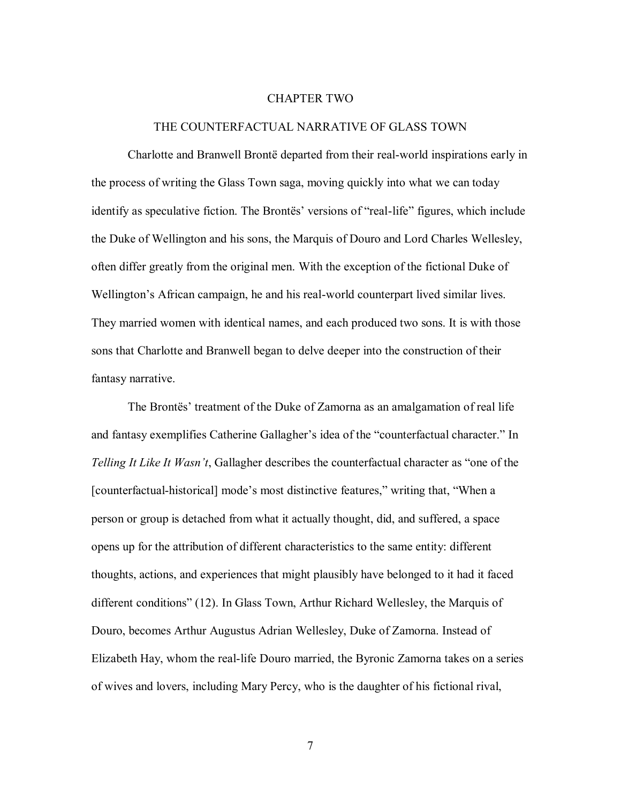#### CHAPTER TWO

## THE COUNTERFACTUAL NARRATIVE OF GLASS TOWN

Charlotte and Branwell Brontë departed from their real-world inspirations early in the process of writing the Glass Town saga, moving quickly into what we can today identify as speculative fiction. The Brontës' versions of "real-life" figures, which include the Duke of Wellington and his sons, the Marquis of Douro and Lord Charles Wellesley, often differ greatly from the original men. With the exception of the fictional Duke of Wellington's African campaign, he and his real-world counterpart lived similar lives. They married women with identical names, and each produced two sons. It is with those sons that Charlotte and Branwell began to delve deeper into the construction of their fantasy narrative.

The Brontës' treatment of the Duke of Zamorna as an amalgamation of real life and fantasy exemplifies Catherine Gallagher's idea of the "counterfactual character." In *Telling It Like It Wasn't*, Gallagher describes the counterfactual character as "one of the [counterfactual-historical] mode's most distinctive features," writing that, "When a person or group is detached from what it actually thought, did, and suffered, a space opens up for the attribution of different characteristics to the same entity: different thoughts, actions, and experiences that might plausibly have belonged to it had it faced different conditions" (12). In Glass Town, Arthur Richard Wellesley, the Marquis of Douro, becomes Arthur Augustus Adrian Wellesley, Duke of Zamorna. Instead of Elizabeth Hay, whom the real-life Douro married, the Byronic Zamorna takes on a series of wives and lovers, including Mary Percy, who is the daughter of his fictional rival,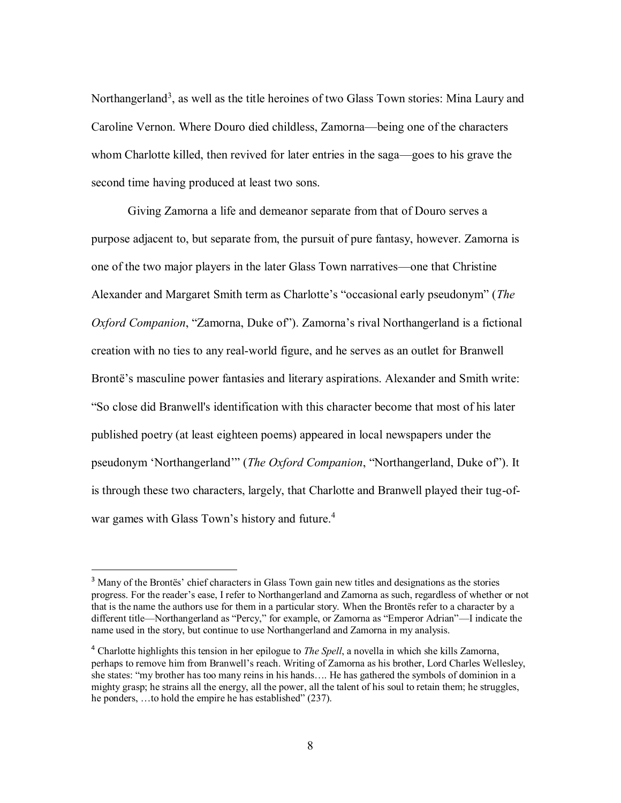Northangerland<sup>3</sup>, as well as the title heroines of two Glass Town stories: Mina Laury and Caroline Vernon. Where Douro died childless, Zamorna—being one of the characters whom Charlotte killed, then revived for later entries in the saga—goes to his grave the second time having produced at least two sons.

Giving Zamorna a life and demeanor separate from that of Douro serves a purpose adjacent to, but separate from, the pursuit of pure fantasy, however. Zamorna is one of the two major players in the later Glass Town narratives—one that Christine Alexander and Margaret Smith term as Charlotte's "occasional early pseudonym" (*The Oxford Companion*, "Zamorna, Duke of"). Zamorna's rival Northangerland is a fictional creation with no ties to any real-world figure, and he serves as an outlet for Branwell Brontë's masculine power fantasies and literary aspirations. Alexander and Smith write: "So close did Branwell's identification with this character become that most of his later published poetry (at least eighteen poems) appeared in local newspapers under the pseudonym 'Northangerland'" (*The Oxford Companion*, "Northangerland, Duke of"). It is through these two characters, largely, that Charlotte and Branwell played their tug-ofwar games with Glass Town's history and future.<sup>4</sup>

 $\overline{a}$ 

<sup>&</sup>lt;sup>3</sup> Many of the Brontës' chief characters in Glass Town gain new titles and designations as the stories progress. For the reader's ease, I refer to Northangerland and Zamorna as such, regardless of whether or not that is the name the authors use for them in a particular story. When the Brontës refer to a character by a different title—Northangerland as "Percy," for example, or Zamorna as "Emperor Adrian"—I indicate the name used in the story, but continue to use Northangerland and Zamorna in my analysis.

<sup>4</sup> Charlotte highlights this tension in her epilogue to *The Spell*, a novella in which she kills Zamorna, perhaps to remove him from Branwell's reach. Writing of Zamorna as his brother, Lord Charles Wellesley, she states: "my brother has too many reins in his hands…. He has gathered the symbols of dominion in a mighty grasp; he strains all the energy, all the power, all the talent of his soul to retain them; he struggles, he ponders, ...to hold the empire he has established" (237).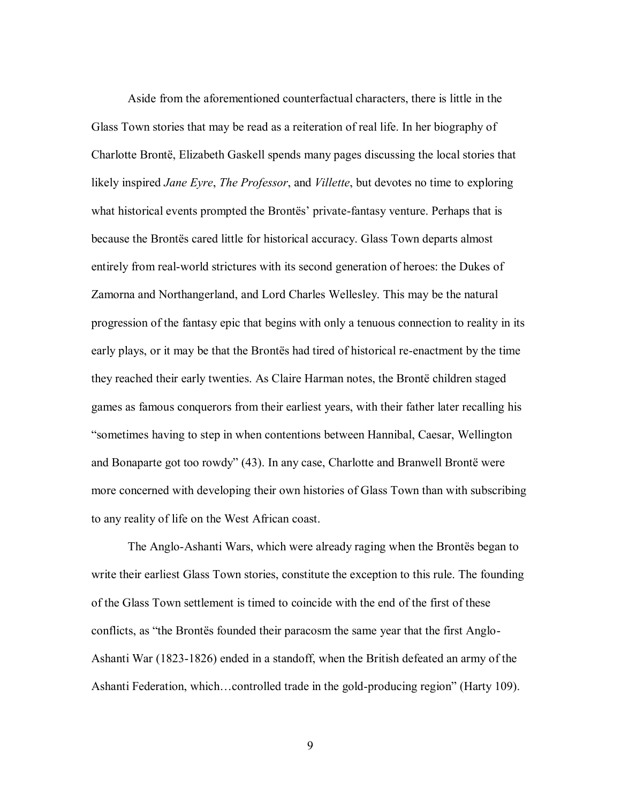Aside from the aforementioned counterfactual characters, there is little in the Glass Town stories that may be read as a reiteration of real life. In her biography of Charlotte Brontë, Elizabeth Gaskell spends many pages discussing the local stories that likely inspired *Jane Eyre*, *The Professor*, and *Villette*, but devotes no time to exploring what historical events prompted the Brontës' private-fantasy venture. Perhaps that is because the Brontës cared little for historical accuracy. Glass Town departs almost entirely from real-world strictures with its second generation of heroes: the Dukes of Zamorna and Northangerland, and Lord Charles Wellesley. This may be the natural progression of the fantasy epic that begins with only a tenuous connection to reality in its early plays, or it may be that the Brontës had tired of historical re-enactment by the time they reached their early twenties. As Claire Harman notes, the Brontë children staged games as famous conquerors from their earliest years, with their father later recalling his "sometimes having to step in when contentions between Hannibal, Caesar, Wellington and Bonaparte got too rowdy" (43). In any case, Charlotte and Branwell Brontë were more concerned with developing their own histories of Glass Town than with subscribing to any reality of life on the West African coast.

The Anglo-Ashanti Wars, which were already raging when the Brontës began to write their earliest Glass Town stories, constitute the exception to this rule. The founding of the Glass Town settlement is timed to coincide with the end of the first of these conflicts, as "the Brontës founded their paracosm the same year that the first Anglo-Ashanti War (1823-1826) ended in a standoff, when the British defeated an army of the Ashanti Federation, which…controlled trade in the gold-producing region" (Harty 109).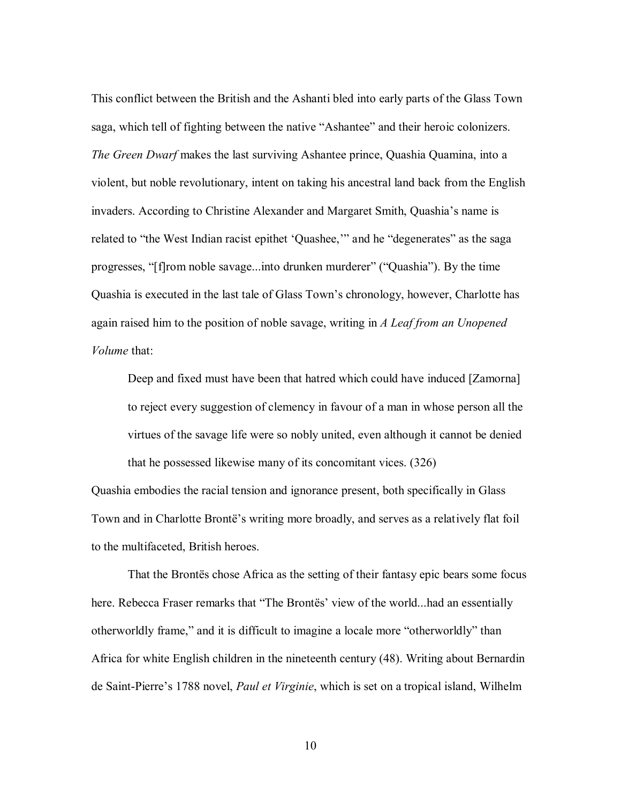This conflict between the British and the Ashanti bled into early parts of the Glass Town saga, which tell of fighting between the native "Ashantee" and their heroic colonizers. *The Green Dwarf* makes the last surviving Ashantee prince, Quashia Quamina, into a violent, but noble revolutionary, intent on taking his ancestral land back from the English invaders. According to Christine Alexander and Margaret Smith, Quashia's name is related to "the West Indian racist epithet 'Quashee,'" and he "degenerates" as the saga progresses, "[f]rom noble savage...into drunken murderer" ("Quashia"). By the time Quashia is executed in the last tale of Glass Town's chronology, however, Charlotte has again raised him to the position of noble savage, writing in *A Leaf from an Unopened Volume* that:

Deep and fixed must have been that hatred which could have induced [Zamorna] to reject every suggestion of clemency in favour of a man in whose person all the virtues of the savage life were so nobly united, even although it cannot be denied that he possessed likewise many of its concomitant vices. (326)

Quashia embodies the racial tension and ignorance present, both specifically in Glass Town and in Charlotte Brontë's writing more broadly, and serves as a relatively flat foil to the multifaceted, British heroes.

That the Brontës chose Africa as the setting of their fantasy epic bears some focus here. Rebecca Fraser remarks that "The Brontës' view of the world...had an essentially otherworldly frame," and it is difficult to imagine a locale more "otherworldly" than Africa for white English children in the nineteenth century (48). Writing about Bernardin de Saint-Pierre's 1788 novel, *Paul et Virginie*, which is set on a tropical island, Wilhelm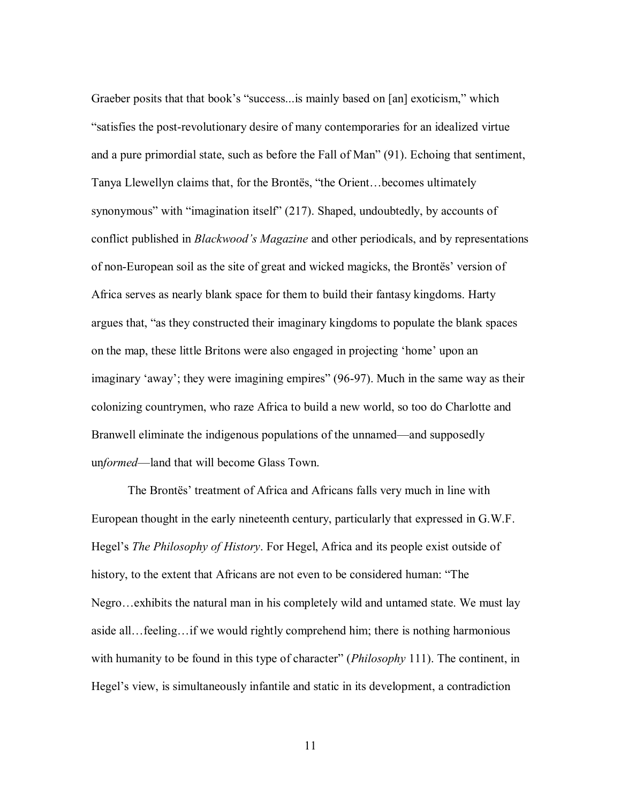Graeber posits that that book's "success...is mainly based on [an] exoticism," which "satisfies the post-revolutionary desire of many contemporaries for an idealized virtue and a pure primordial state, such as before the Fall of Man" (91). Echoing that sentiment, Tanya Llewellyn claims that, for the Brontës, "the Orient…becomes ultimately synonymous" with "imagination itself" (217). Shaped, undoubtedly, by accounts of conflict published in *Blackwood's Magazine* and other periodicals, and by representations of non-European soil as the site of great and wicked magicks, the Brontës' version of Africa serves as nearly blank space for them to build their fantasy kingdoms. Harty argues that, "as they constructed their imaginary kingdoms to populate the blank spaces on the map, these little Britons were also engaged in projecting 'home' upon an imaginary 'away'; they were imagining empires" (96-97). Much in the same way as their colonizing countrymen, who raze Africa to build a new world, so too do Charlotte and Branwell eliminate the indigenous populations of the unnamed—and supposedly un*formed*—land that will become Glass Town.

The Brontës' treatment of Africa and Africans falls very much in line with European thought in the early nineteenth century, particularly that expressed in G.W.F. Hegel's *The Philosophy of History*. For Hegel, Africa and its people exist outside of history, to the extent that Africans are not even to be considered human: "The Negro…exhibits the natural man in his completely wild and untamed state. We must lay aside all…feeling…if we would rightly comprehend him; there is nothing harmonious with humanity to be found in this type of character" (*Philosophy* 111). The continent, in Hegel's view, is simultaneously infantile and static in its development, a contradiction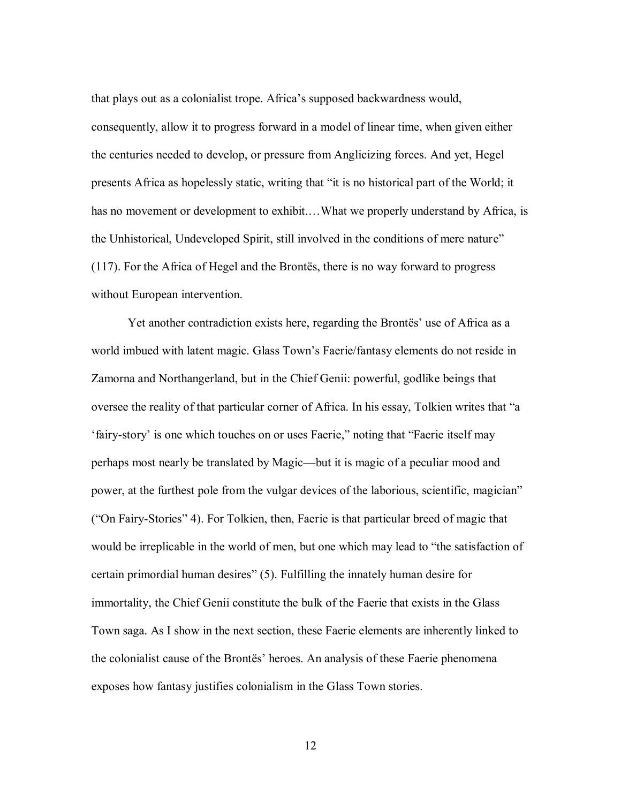that plays out as a colonialist trope. Africa's supposed backwardness would, consequently, allow it to progress forward in a model of linear time, when given either the centuries needed to develop, or pressure from Anglicizing forces. And yet, Hegel presents Africa as hopelessly static, writing that "it is no historical part of the World; it has no movement or development to exhibit....What we properly understand by Africa, is the Unhistorical, Undeveloped Spirit, still involved in the conditions of mere nature" (117). For the Africa of Hegel and the Brontës, there is no way forward to progress without European intervention.

Yet another contradiction exists here, regarding the Brontës' use of Africa as a world imbued with latent magic. Glass Town's Faerie/fantasy elements do not reside in Zamorna and Northangerland, but in the Chief Genii: powerful, godlike beings that oversee the reality of that particular corner of Africa. In his essay, Tolkien writes that "a 'fairy-story' is one which touches on or uses Faerie," noting that "Faerie itself may perhaps most nearly be translated by Magic—but it is magic of a peculiar mood and power, at the furthest pole from the vulgar devices of the laborious, scientific, magician" ("On Fairy-Stories" 4). For Tolkien, then, Faerie is that particular breed of magic that would be irreplicable in the world of men, but one which may lead to "the satisfaction of certain primordial human desires" (5). Fulfilling the innately human desire for immortality, the Chief Genii constitute the bulk of the Faerie that exists in the Glass Town saga. As I show in the next section, these Faerie elements are inherently linked to the colonialist cause of the Brontës' heroes. An analysis of these Faerie phenomena exposes how fantasy justifies colonialism in the Glass Town stories.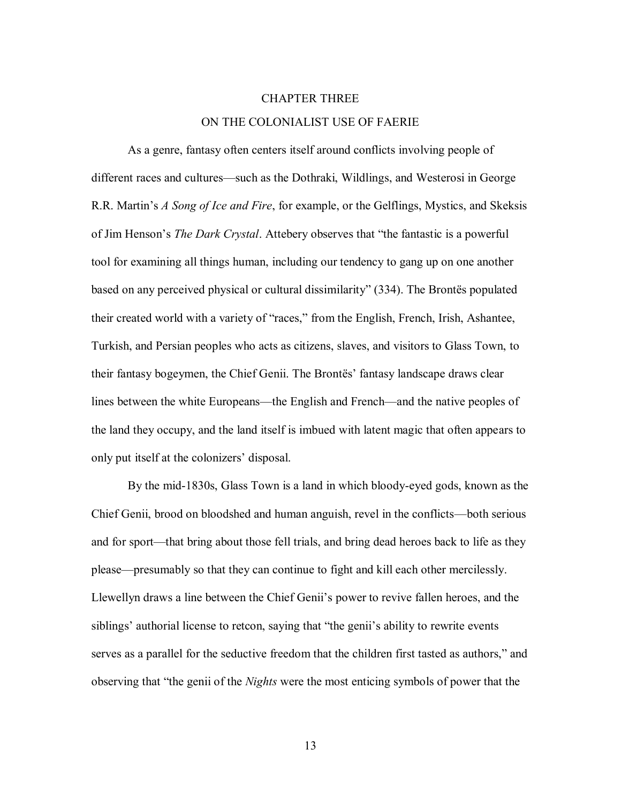## CHAPTER THREE

# ON THE COLONIALIST USE OF FAERIE

As a genre, fantasy often centers itself around conflicts involving people of different races and cultures—such as the Dothraki, Wildlings, and Westerosi in George R.R. Martin's *A Song of Ice and Fire*, for example, or the Gelflings, Mystics, and Skeksis of Jim Henson's *The Dark Crystal*. Attebery observes that "the fantastic is a powerful tool for examining all things human, including our tendency to gang up on one another based on any perceived physical or cultural dissimilarity" (334). The Brontës populated their created world with a variety of "races," from the English, French, Irish, Ashantee, Turkish, and Persian peoples who acts as citizens, slaves, and visitors to Glass Town, to their fantasy bogeymen, the Chief Genii. The Brontës' fantasy landscape draws clear lines between the white Europeans—the English and French—and the native peoples of the land they occupy, and the land itself is imbued with latent magic that often appears to only put itself at the colonizers' disposal.

By the mid-1830s, Glass Town is a land in which bloody-eyed gods, known as the Chief Genii, brood on bloodshed and human anguish, revel in the conflicts—both serious and for sport—that bring about those fell trials, and bring dead heroes back to life as they please—presumably so that they can continue to fight and kill each other mercilessly. Llewellyn draws a line between the Chief Genii's power to revive fallen heroes, and the siblings' authorial license to retcon, saying that "the genii's ability to rewrite events serves as a parallel for the seductive freedom that the children first tasted as authors," and observing that "the genii of the *Nights* were the most enticing symbols of power that the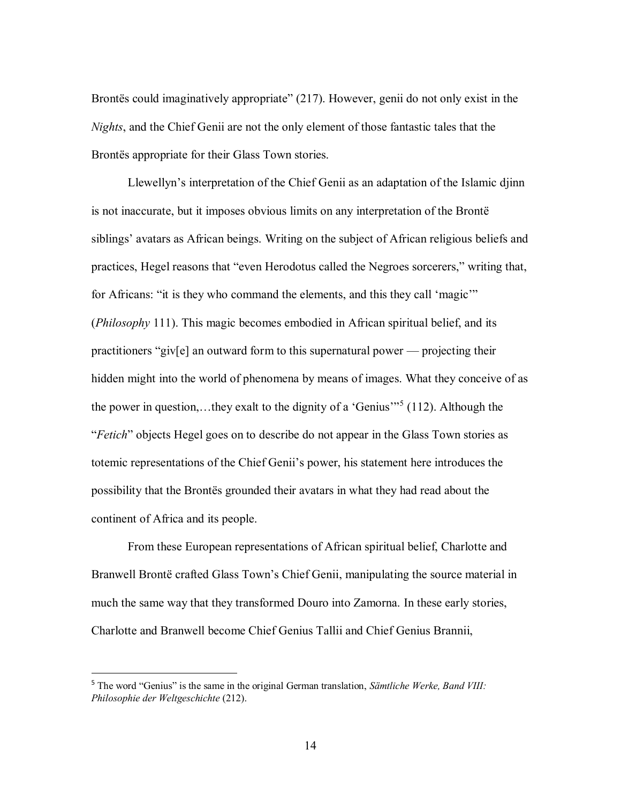Brontes could imaginatively appropriate" (217). However, genii do not only exist in the *Nights*, and the Chief Genii are not the only element of those fantastic tales that the Brontës appropriate for their Glass Town stories.

Llewellyn's interpretation of the Chief Genii as an adaptation of the Islamic djinn is not inaccurate, but it imposes obvious limits on any interpretation of the Brontë siblings' avatars as African beings. Writing on the subject of African religious beliefs and practices, Hegel reasons that "even Herodotus called the Negroes sorcerers," writing that, for Africans: "it is they who command the elements, and this they call 'magic'" (*Philosophy* 111). This magic becomes embodied in African spiritual belief, and its practitioners "giv[e] an outward form to this supernatural power — projecting their hidden might into the world of phenomena by means of images. What they conceive of as the power in question,…they exalt to the dignity of a 'Genius'"<sup>5</sup> (112). Although the "*Fetich*" objects Hegel goes on to describe do not appear in the Glass Town stories as totemic representations of the Chief Genii's power, his statement here introduces the possibility that the Brontës grounded their avatars in what they had read about the continent of Africa and its people.

From these European representations of African spiritual belief, Charlotte and Branwell Brontë crafted Glass Town's Chief Genii, manipulating the source material in much the same way that they transformed Douro into Zamorna. In these early stories, Charlotte and Branwell become Chief Genius Tallii and Chief Genius Brannii,

 $\overline{a}$ 

<sup>5</sup> The word "Genius" is the same in the original German translation, *Sämtliche Werke, Band VIII: Philosophie der Weltgeschichte* (212).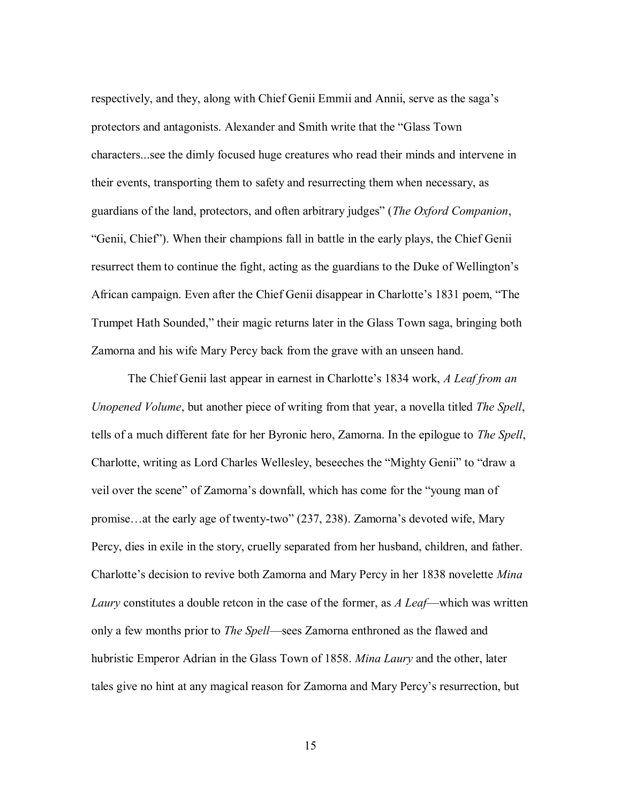respectively, and they, along with Chief Genii Emmii and Annii, serve as the saga's protectors and antagonists. Alexander and Smith write that the "Glass Town characters...see the dimly focused huge creatures who read their minds and intervene in their events, transporting them to safety and resurrecting them when necessary, as guardians of the land, protectors, and often arbitrary judges" (*The Oxford Companion*, "Genii, Chief"). When their champions fall in battle in the early plays, the Chief Genii resurrect them to continue the fight, acting as the guardians to the Duke of Wellington's African campaign. Even after the Chief Genii disappear in Charlotte's 1831 poem, "The Trumpet Hath Sounded," their magic returns later in the Glass Town saga, bringing both Zamorna and his wife Mary Percy back from the grave with an unseen hand.

The Chief Genii last appear in earnest in Charlotte's 1834 work, *A Leaf from an Unopened Volume*, but another piece of writing from that year, a novella titled *The Spell*, tells of a much different fate for her Byronic hero, Zamorna. In the epilogue to *The Spell*, Charlotte, writing as Lord Charles Wellesley, beseeches the "Mighty Genii" to "draw a veil over the scene" of Zamorna's downfall, which has come for the "young man of promise…at the early age of twenty-two" (237, 238). Zamorna's devoted wife, Mary Percy, dies in exile in the story, cruelly separated from her husband, children, and father. Charlotte's decision to revive both Zamorna and Mary Percy in her 1838 novelette *Mina Laury* constitutes a double retcon in the case of the former, as *A Leaf*—which was written only a few months prior to *The Spell*—sees Zamorna enthroned as the flawed and hubristic Emperor Adrian in the Glass Town of 1858. *Mina Laury* and the other, later tales give no hint at any magical reason for Zamorna and Mary Percy's resurrection, but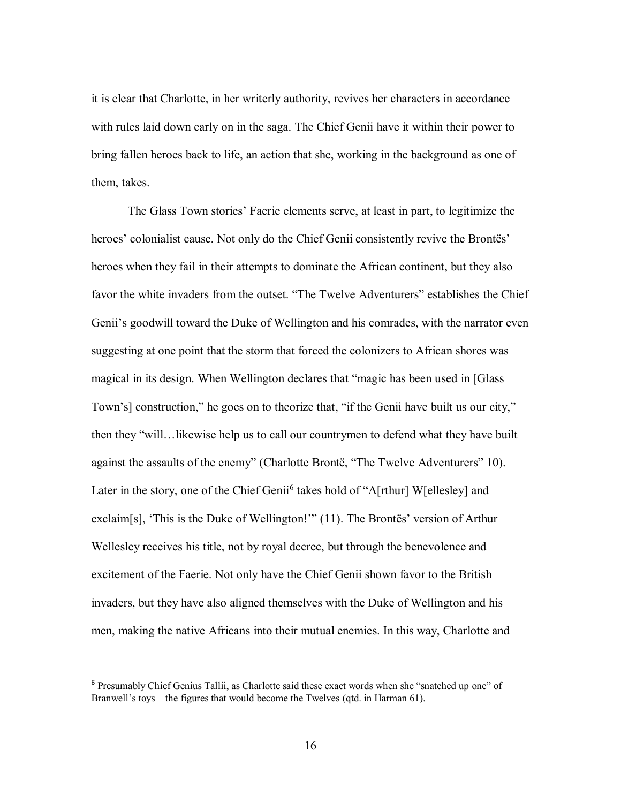it is clear that Charlotte, in her writerly authority, revives her characters in accordance with rules laid down early on in the saga. The Chief Genii have it within their power to bring fallen heroes back to life, an action that she, working in the background as one of them, takes.

The Glass Town stories' Faerie elements serve, at least in part, to legitimize the heroes' colonialist cause. Not only do the Chief Genii consistently revive the Brontës' heroes when they fail in their attempts to dominate the African continent, but they also favor the white invaders from the outset. "The Twelve Adventurers" establishes the Chief Genii's goodwill toward the Duke of Wellington and his comrades, with the narrator even suggesting at one point that the storm that forced the colonizers to African shores was magical in its design. When Wellington declares that "magic has been used in [Glass Town's] construction," he goes on to theorize that, "if the Genii have built us our city," then they "will…likewise help us to call our countrymen to defend what they have built against the assaults of the enemy" (Charlotte Brontë, "The Twelve Adventurers" 10). Later in the story, one of the Chief Geni<sup>6</sup> takes hold of "A[rthur] W[ellesley] and exclaim[s], 'This is the Duke of Wellington!'" (11). The Brontës' version of Arthur Wellesley receives his title, not by royal decree, but through the benevolence and excitement of the Faerie. Not only have the Chief Genii shown favor to the British invaders, but they have also aligned themselves with the Duke of Wellington and his men, making the native Africans into their mutual enemies. In this way, Charlotte and

 $\overline{a}$ 

<sup>&</sup>lt;sup>6</sup> Presumably Chief Genius Tallii, as Charlotte said these exact words when she "snatched up one" of Branwell's toys—the figures that would become the Twelves (qtd. in Harman 61).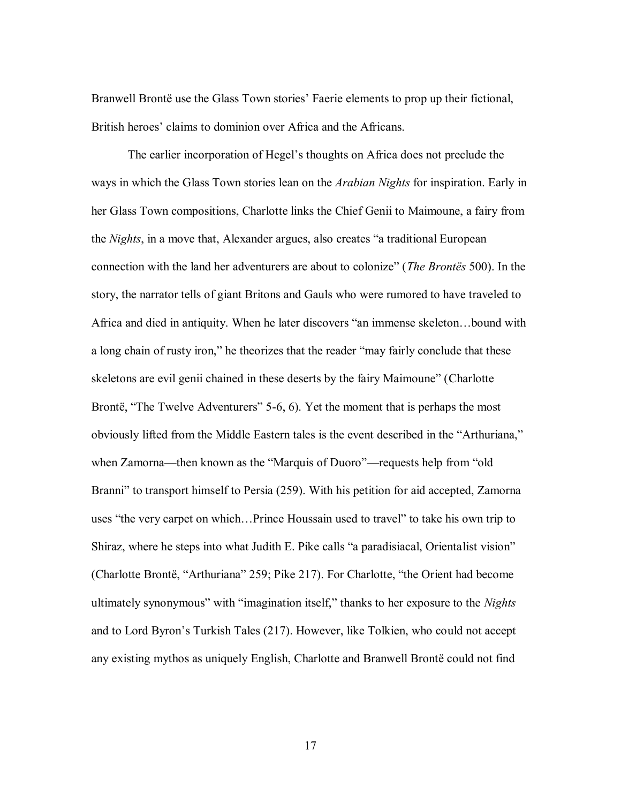Branwell Brontë use the Glass Town stories' Faerie elements to prop up their fictional, British heroes' claims to dominion over Africa and the Africans.

The earlier incorporation of Hegel's thoughts on Africa does not preclude the ways in which the Glass Town stories lean on the *Arabian Nights* for inspiration. Early in her Glass Town compositions, Charlotte links the Chief Genii to Maimoune, a fairy from the *Nights*, in a move that, Alexander argues, also creates "a traditional European connection with the land her adventurers are about to colonize" (*The Brontës* 500). In the story, the narrator tells of giant Britons and Gauls who were rumored to have traveled to Africa and died in antiquity. When he later discovers "an immense skeleton…bound with a long chain of rusty iron," he theorizes that the reader "may fairly conclude that these skeletons are evil genii chained in these deserts by the fairy Maimoune" (Charlotte Brontë, "The Twelve Adventurers" 5-6, 6). Yet the moment that is perhaps the most obviously lifted from the Middle Eastern tales is the event described in the "Arthuriana," when Zamorna—then known as the "Marquis of Duoro"—requests help from "old Branni" to transport himself to Persia (259). With his petition for aid accepted, Zamorna uses "the very carpet on which…Prince Houssain used to travel" to take his own trip to Shiraz, where he steps into what Judith E. Pike calls "a paradisiacal, Orientalist vision" (Charlotte Brontë, "Arthuriana" 259; Pike 217). For Charlotte, "the Orient had become ultimately synonymous" with "imagination itself," thanks to her exposure to the *Nights* and to Lord Byron's Turkish Tales (217). However, like Tolkien, who could not accept any existing mythos as uniquely English, Charlotte and Branwell Brontë could not find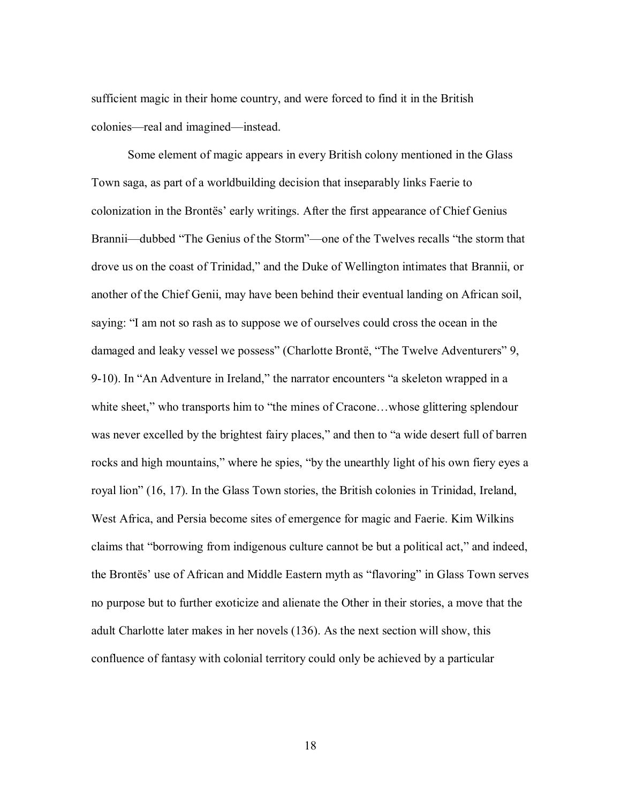sufficient magic in their home country, and were forced to find it in the British colonies—real and imagined—instead.

Some element of magic appears in every British colony mentioned in the Glass Town saga, as part of a worldbuilding decision that inseparably links Faerie to colonization in the Brontës' early writings. After the first appearance of Chief Genius Brannii—dubbed "The Genius of the Storm"—one of the Twelves recalls "the storm that drove us on the coast of Trinidad," and the Duke of Wellington intimates that Brannii, or another of the Chief Genii, may have been behind their eventual landing on African soil, saying: "I am not so rash as to suppose we of ourselves could cross the ocean in the damaged and leaky vessel we possess" (Charlotte Brontë, "The Twelve Adventurers" 9, 9-10). In "An Adventure in Ireland," the narrator encounters "a skeleton wrapped in a white sheet," who transports him to "the mines of Cracone...whose glittering splendour was never excelled by the brightest fairy places," and then to "a wide desert full of barren rocks and high mountains," where he spies, "by the unearthly light of his own fiery eyes a royal lion" (16, 17). In the Glass Town stories, the British colonies in Trinidad, Ireland, West Africa, and Persia become sites of emergence for magic and Faerie. Kim Wilkins claims that "borrowing from indigenous culture cannot be but a political act," and indeed, the Brontës' use of African and Middle Eastern myth as "flavoring" in Glass Town serves no purpose but to further exoticize and alienate the Other in their stories, a move that the adult Charlotte later makes in her novels (136). As the next section will show, this confluence of fantasy with colonial territory could only be achieved by a particular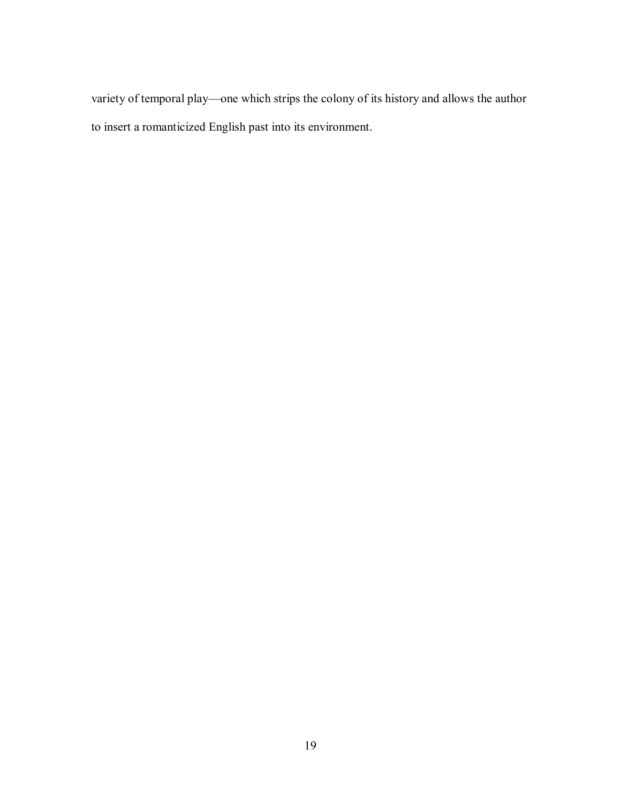variety of temporal play—one which strips the colony of its history and allows the author to insert a romanticized English past into its environment.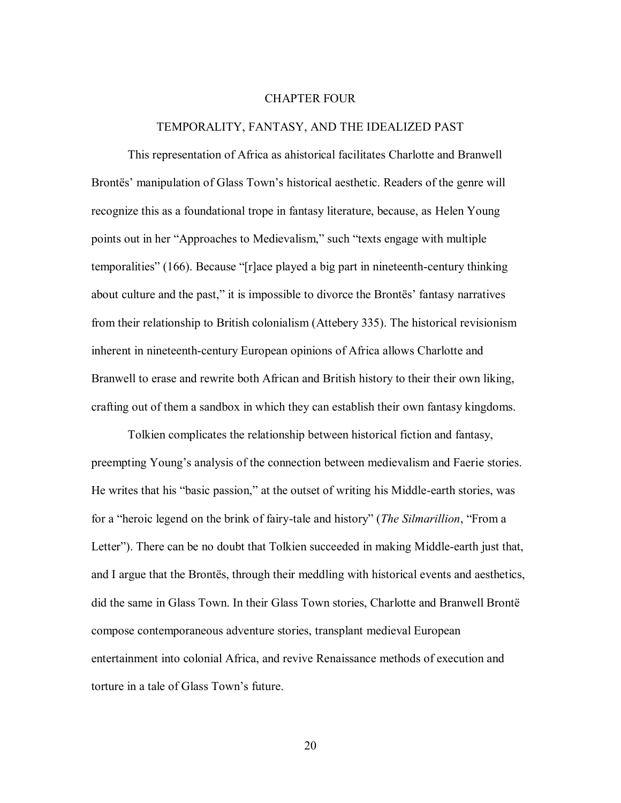#### CHAPTER FOUR

#### TEMPORALITY, FANTASY, AND THE IDEALIZED PAST

This representation of Africa as ahistorical facilitates Charlotte and Branwell Brontës' manipulation of Glass Town's historical aesthetic. Readers of the genre will recognize this as a foundational trope in fantasy literature, because, as Helen Young points out in her "Approaches to Medievalism," such "texts engage with multiple temporalities" (166). Because "[r]ace played a big part in nineteenth-century thinking about culture and the past," it is impossible to divorce the Brontës' fantasy narratives from their relationship to British colonialism (Attebery 335). The historical revisionism inherent in nineteenth-century European opinions of Africa allows Charlotte and Branwell to erase and rewrite both African and British history to their their own liking, crafting out of them a sandbox in which they can establish their own fantasy kingdoms.

Tolkien complicates the relationship between historical fiction and fantasy, preempting Young's analysis of the connection between medievalism and Faerie stories. He writes that his "basic passion," at the outset of writing his Middle-earth stories, was for a "heroic legend on the brink of fairy-tale and history" (*The Silmarillion*, "From a Letter"). There can be no doubt that Tolkien succeeded in making Middle-earth just that, and I argue that the Brontës, through their meddling with historical events and aesthetics, did the same in Glass Town. In their Glass Town stories, Charlotte and Branwell Brontë compose contemporaneous adventure stories, transplant medieval European entertainment into colonial Africa, and revive Renaissance methods of execution and torture in a tale of Glass Town's future.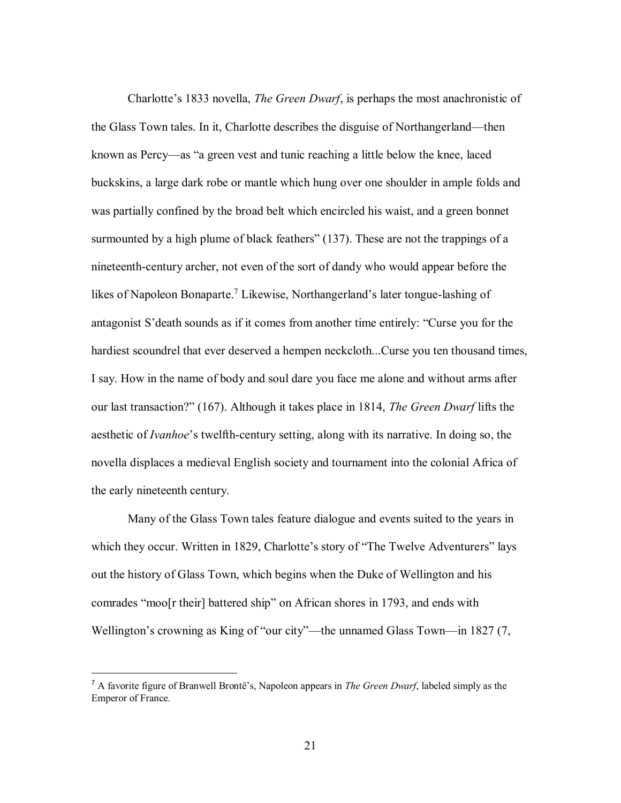Charlotte's 1833 novella, *The Green Dwarf*, is perhaps the most anachronistic of the Glass Town tales. In it, Charlotte describes the disguise of Northangerland—then known as Percy—as "a green vest and tunic reaching a little below the knee, laced buckskins, a large dark robe or mantle which hung over one shoulder in ample folds and was partially confined by the broad belt which encircled his waist, and a green bonnet surmounted by a high plume of black feathers" (137). These are not the trappings of a nineteenth-century archer, not even of the sort of dandy who would appear before the likes of Napoleon Bonaparte.<sup>7</sup> Likewise, Northangerland's later tongue-lashing of antagonist S'death sounds as if it comes from another time entirely: "Curse you for the hardiest scoundrel that ever deserved a hempen neckcloth...Curse you ten thousand times, I say. How in the name of body and soul dare you face me alone and without arms after our last transaction?" (167). Although it takes place in 1814, *The Green Dwarf* lifts the aesthetic of *Ivanhoe*'s twelfth-century setting, along with its narrative. In doing so, the novella displaces a medieval English society and tournament into the colonial Africa of the early nineteenth century.

Many of the Glass Town tales feature dialogue and events suited to the years in which they occur. Written in 1829, Charlotte's story of "The Twelve Adventurers" lays out the history of Glass Town, which begins when the Duke of Wellington and his comrades "moo[r their] battered ship" on African shores in 1793, and ends with Wellington's crowning as King of "our city"—the unnamed Glass Town—in 1827 (7,

 $\overline{a}$ 

<sup>7</sup> A favorite figure of Branwell Brontë's, Napoleon appears in *The Green Dwarf*, labeled simply as the Emperor of France.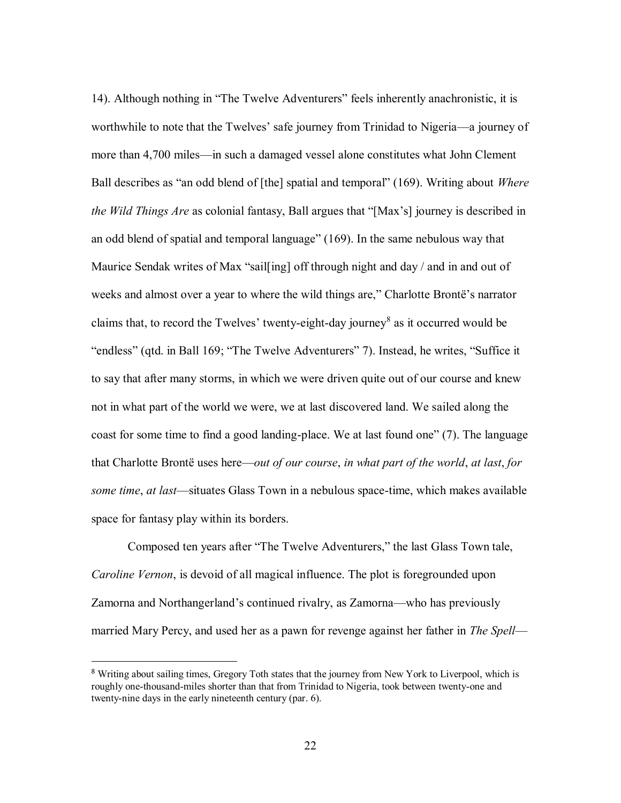14). Although nothing in "The Twelve Adventurers" feels inherently anachronistic, it is worthwhile to note that the Twelves' safe journey from Trinidad to Nigeria—a journey of more than 4,700 miles—in such a damaged vessel alone constitutes what John Clement Ball describes as "an odd blend of [the] spatial and temporal" (169). Writing about *Where the Wild Things Are* as colonial fantasy, Ball argues that "[Max's] journey is described in an odd blend of spatial and temporal language" (169). In the same nebulous way that Maurice Sendak writes of Max "sail [ing] off through night and day / and in and out of weeks and almost over a year to where the wild things are," Charlotte Brontë's narrator claims that, to record the Twelves' twenty-eight-day journey<sup>8</sup> as it occurred would be "endless" (qtd. in Ball 169; "The Twelve Adventurers" 7). Instead, he writes, "Suffice it to say that after many storms, in which we were driven quite out of our course and knew not in what part of the world we were, we at last discovered land. We sailed along the coast for some time to find a good landing-place. We at last found one" (7). The language that Charlotte Brontë uses here—*out of our course*, *in what part of the world*, *at last*, *for some time*, *at last*—situates Glass Town in a nebulous space-time, which makes available space for fantasy play within its borders.

Composed ten years after "The Twelve Adventurers," the last Glass Town tale, *Caroline Vernon*, is devoid of all magical influence. The plot is foregrounded upon Zamorna and Northangerland's continued rivalry, as Zamorna—who has previously married Mary Percy, and used her as a pawn for revenge against her father in *The Spell*—

 $\overline{\phantom{a}}$ 

<sup>&</sup>lt;sup>8</sup> Writing about sailing times, Gregory Toth states that the journey from New York to Liverpool, which is roughly one-thousand-miles shorter than that from Trinidad to Nigeria, took between twenty-one and twenty-nine days in the early nineteenth century (par. 6).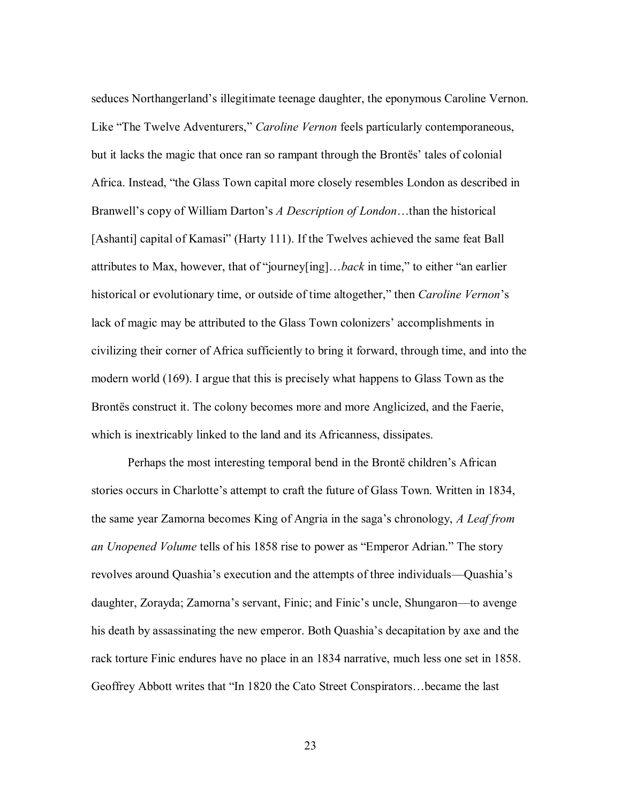seduces Northangerland's illegitimate teenage daughter, the eponymous Caroline Vernon. Like "The Twelve Adventurers," *Caroline Vernon* feels particularly contemporaneous, but it lacks the magic that once ran so rampant through the Brontës' tales of colonial Africa. Instead, "the Glass Town capital more closely resembles London as described in Branwell's copy of William Darton's *A Description of London*…than the historical [Ashanti] capital of Kamasi" (Harty 111). If the Twelves achieved the same feat Ball attributes to Max, however, that of "journey[ing]…*back* in time," to either "an earlier historical or evolutionary time, or outside of time altogether," then *Caroline Vernon*'s lack of magic may be attributed to the Glass Town colonizers' accomplishments in civilizing their corner of Africa sufficiently to bring it forward, through time, and into the modern world (169). I argue that this is precisely what happens to Glass Town as the Brontës construct it. The colony becomes more and more Anglicized, and the Faerie, which is inextricably linked to the land and its Africanness, dissipates.

Perhaps the most interesting temporal bend in the Brontë children's African stories occurs in Charlotte's attempt to craft the future of Glass Town. Written in 1834, the same year Zamorna becomes King of Angria in the saga's chronology, *A Leaf from an Unopened Volume* tells of his 1858 rise to power as "Emperor Adrian." The story revolves around Quashia's execution and the attempts of three individuals—Quashia's daughter, Zorayda; Zamorna's servant, Finic; and Finic's uncle, Shungaron—to avenge his death by assassinating the new emperor. Both Quashia's decapitation by axe and the rack torture Finic endures have no place in an 1834 narrative, much less one set in 1858. Geoffrey Abbott writes that "In 1820 the Cato Street Conspirators…became the last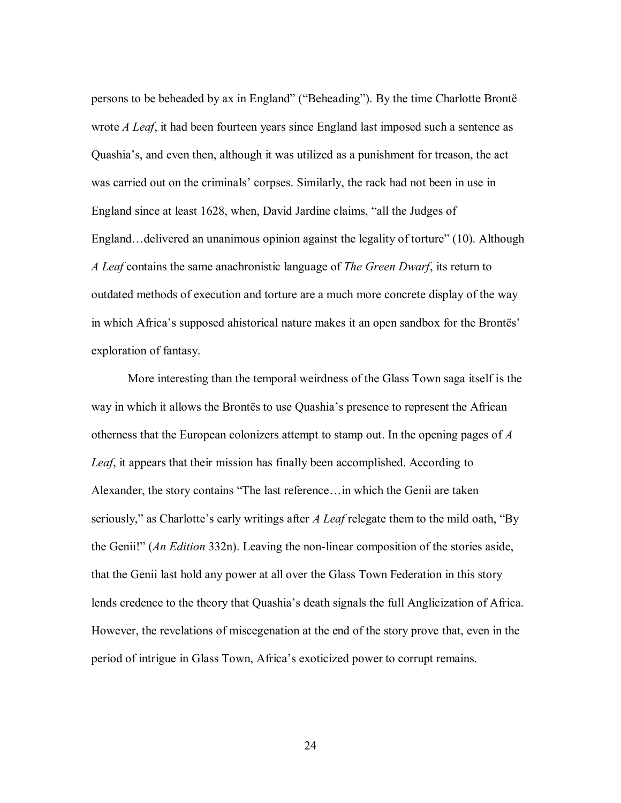persons to be beheaded by ax in England" ("Beheading"). By the time Charlotte Brontë wrote *A Leaf*, it had been fourteen years since England last imposed such a sentence as Quashia's, and even then, although it was utilized as a punishment for treason, the act was carried out on the criminals' corpses. Similarly, the rack had not been in use in England since at least 1628, when, David Jardine claims, "all the Judges of England…delivered an unanimous opinion against the legality of torture" (10). Although *A Leaf* contains the same anachronistic language of *The Green Dwarf*, its return to outdated methods of execution and torture are a much more concrete display of the way in which Africa's supposed ahistorical nature makes it an open sandbox for the Brontës' exploration of fantasy.

More interesting than the temporal weirdness of the Glass Town saga itself is the way in which it allows the Brontës to use Quashia's presence to represent the African otherness that the European colonizers attempt to stamp out. In the opening pages of *A Leaf*, it appears that their mission has finally been accomplished. According to Alexander, the story contains "The last reference…in which the Genii are taken seriously," as Charlotte's early writings after *A Leaf* relegate them to the mild oath, "By the Genii!" (*An Edition* 332n). Leaving the non-linear composition of the stories aside, that the Genii last hold any power at all over the Glass Town Federation in this story lends credence to the theory that Quashia's death signals the full Anglicization of Africa. However, the revelations of miscegenation at the end of the story prove that, even in the period of intrigue in Glass Town, Africa's exoticized power to corrupt remains.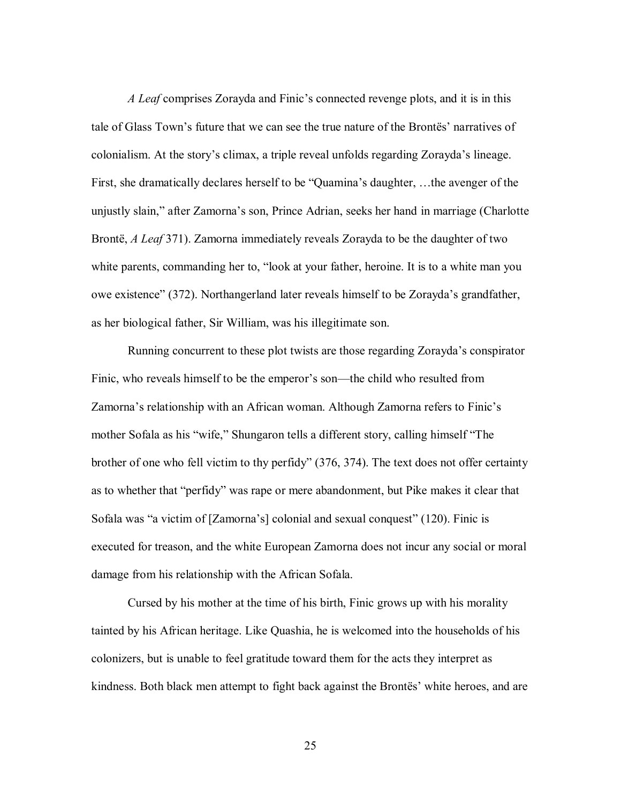*A Leaf* comprises Zorayda and Finic's connected revenge plots, and it is in this tale of Glass Town's future that we can see the true nature of the Brontës' narratives of colonialism. At the story's climax, a triple reveal unfolds regarding Zorayda's lineage. First, she dramatically declares herself to be "Quamina's daughter, …the avenger of the unjustly slain," after Zamorna's son, Prince Adrian, seeks her hand in marriage (Charlotte Brontë, *A Leaf* 371). Zamorna immediately reveals Zorayda to be the daughter of two white parents, commanding her to, "look at your father, heroine. It is to a white man you owe existence" (372). Northangerland later reveals himself to be Zorayda's grandfather, as her biological father, Sir William, was his illegitimate son.

Running concurrent to these plot twists are those regarding Zorayda's conspirator Finic, who reveals himself to be the emperor's son—the child who resulted from Zamorna's relationship with an African woman. Although Zamorna refers to Finic's mother Sofala as his "wife," Shungaron tells a different story, calling himself "The brother of one who fell victim to thy perfidy" (376, 374). The text does not offer certainty as to whether that "perfidy" was rape or mere abandonment, but Pike makes it clear that Sofala was "a victim of [Zamorna's] colonial and sexual conquest" (120). Finic is executed for treason, and the white European Zamorna does not incur any social or moral damage from his relationship with the African Sofala.

Cursed by his mother at the time of his birth, Finic grows up with his morality tainted by his African heritage. Like Quashia, he is welcomed into the households of his colonizers, but is unable to feel gratitude toward them for the acts they interpret as kindness. Both black men attempt to fight back against the Brontës' white heroes, and are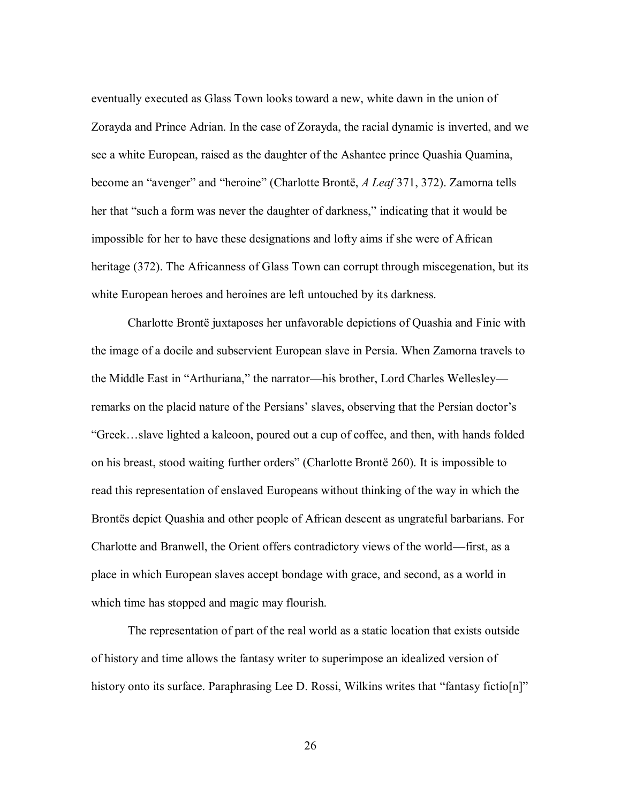eventually executed as Glass Town looks toward a new, white dawn in the union of Zorayda and Prince Adrian. In the case of Zorayda, the racial dynamic is inverted, and we see a white European, raised as the daughter of the Ashantee prince Quashia Quamina, become an "avenger" and "heroine" (Charlotte Brontë, *A Leaf* 371, 372). Zamorna tells her that "such a form was never the daughter of darkness," indicating that it would be impossible for her to have these designations and lofty aims if she were of African heritage (372). The Africanness of Glass Town can corrupt through miscegenation, but its white European heroes and heroines are left untouched by its darkness.

Charlotte Brontë juxtaposes her unfavorable depictions of Quashia and Finic with the image of a docile and subservient European slave in Persia. When Zamorna travels to the Middle East in "Arthuriana," the narrator—his brother, Lord Charles Wellesley remarks on the placid nature of the Persians' slaves, observing that the Persian doctor's "Greek…slave lighted a kaleoon, poured out a cup of coffee, and then, with hands folded on his breast, stood waiting further orders" (Charlotte Brontë 260). It is impossible to read this representation of enslaved Europeans without thinking of the way in which the Brontës depict Quashia and other people of African descent as ungrateful barbarians. For Charlotte and Branwell, the Orient offers contradictory views of the world—first, as a place in which European slaves accept bondage with grace, and second, as a world in which time has stopped and magic may flourish.

The representation of part of the real world as a static location that exists outside of history and time allows the fantasy writer to superimpose an idealized version of history onto its surface. Paraphrasing Lee D. Rossi, Wilkins writes that "fantasy fictio[n]"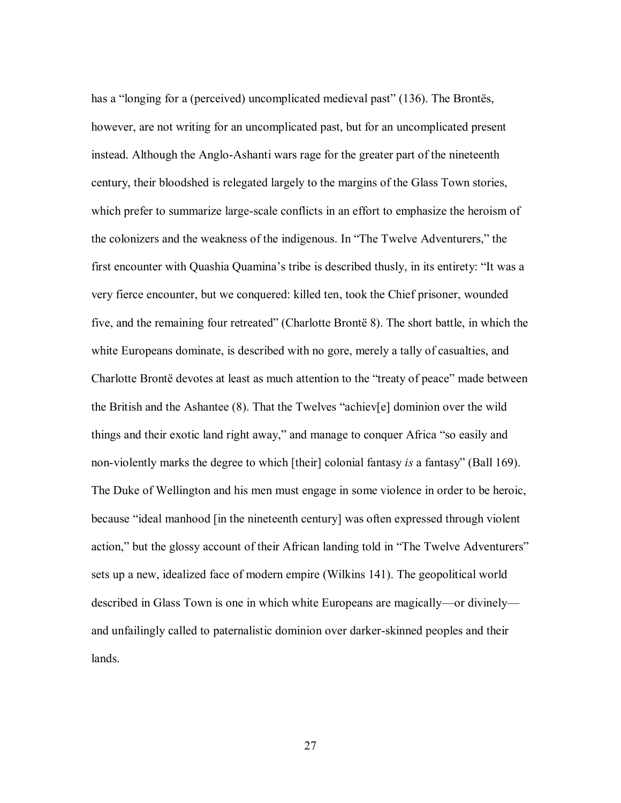has a "longing for a (perceived) uncomplicated medieval past" (136). The Brontës, however, are not writing for an uncomplicated past, but for an uncomplicated present instead. Although the Anglo-Ashanti wars rage for the greater part of the nineteenth century, their bloodshed is relegated largely to the margins of the Glass Town stories, which prefer to summarize large-scale conflicts in an effort to emphasize the heroism of the colonizers and the weakness of the indigenous. In "The Twelve Adventurers," the first encounter with Quashia Quamina's tribe is described thusly, in its entirety: "It was a very fierce encounter, but we conquered: killed ten, took the Chief prisoner, wounded five, and the remaining four retreated" (Charlotte Brontë 8). The short battle, in which the white Europeans dominate, is described with no gore, merely a tally of casualties, and Charlotte Brontë devotes at least as much attention to the "treaty of peace" made between the British and the Ashantee (8). That the Twelves "achiev[e] dominion over the wild things and their exotic land right away," and manage to conquer Africa "so easily and non-violently marks the degree to which [their] colonial fantasy *is* a fantasy" (Ball 169). The Duke of Wellington and his men must engage in some violence in order to be heroic, because "ideal manhood [in the nineteenth century] was often expressed through violent action," but the glossy account of their African landing told in "The Twelve Adventurers" sets up a new, idealized face of modern empire (Wilkins 141). The geopolitical world described in Glass Town is one in which white Europeans are magically—or divinely and unfailingly called to paternalistic dominion over darker-skinned peoples and their lands.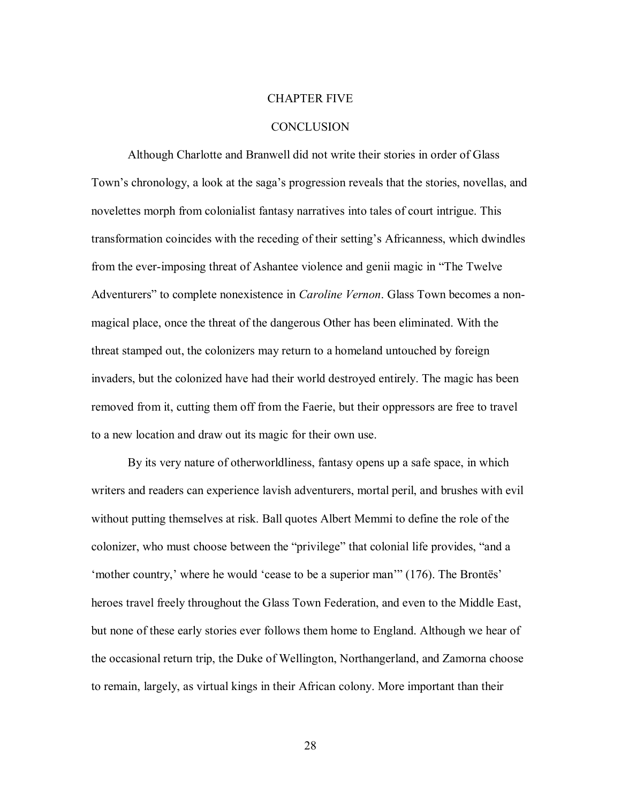#### CHAPTER FIVE

# **CONCLUSION**

Although Charlotte and Branwell did not write their stories in order of Glass Town's chronology, a look at the saga's progression reveals that the stories, novellas, and novelettes morph from colonialist fantasy narratives into tales of court intrigue. This transformation coincides with the receding of their setting's Africanness, which dwindles from the ever-imposing threat of Ashantee violence and genii magic in "The Twelve Adventurers" to complete nonexistence in *Caroline Vernon*. Glass Town becomes a nonmagical place, once the threat of the dangerous Other has been eliminated. With the threat stamped out, the colonizers may return to a homeland untouched by foreign invaders, but the colonized have had their world destroyed entirely. The magic has been removed from it, cutting them off from the Faerie, but their oppressors are free to travel to a new location and draw out its magic for their own use.

By its very nature of otherworldliness, fantasy opens up a safe space, in which writers and readers can experience lavish adventurers, mortal peril, and brushes with evil without putting themselves at risk. Ball quotes Albert Memmi to define the role of the colonizer, who must choose between the "privilege" that colonial life provides, "and a 'mother country,' where he would 'cease to be a superior man'" (176). The Brontës' heroes travel freely throughout the Glass Town Federation, and even to the Middle East, but none of these early stories ever follows them home to England. Although we hear of the occasional return trip, the Duke of Wellington, Northangerland, and Zamorna choose to remain, largely, as virtual kings in their African colony. More important than their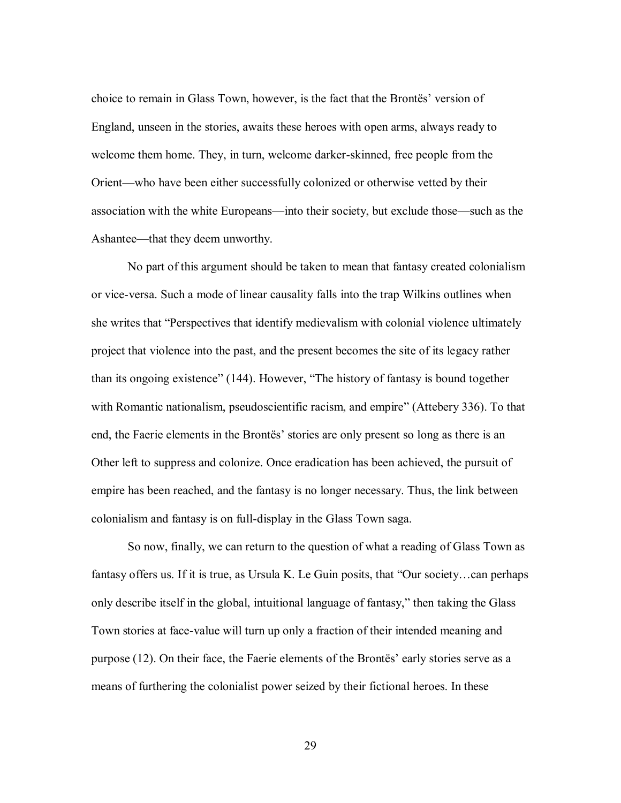choice to remain in Glass Town, however, is the fact that the Brontës' version of England, unseen in the stories, awaits these heroes with open arms, always ready to welcome them home. They, in turn, welcome darker-skinned, free people from the Orient—who have been either successfully colonized or otherwise vetted by their association with the white Europeans—into their society, but exclude those—such as the Ashantee—that they deem unworthy.

No part of this argument should be taken to mean that fantasy created colonialism or vice-versa. Such a mode of linear causality falls into the trap Wilkins outlines when she writes that "Perspectives that identify medievalism with colonial violence ultimately project that violence into the past, and the present becomes the site of its legacy rather than its ongoing existence" (144). However, "The history of fantasy is bound together with Romantic nationalism, pseudoscientific racism, and empire" (Attebery 336). To that end, the Faerie elements in the Brontës' stories are only present so long as there is an Other left to suppress and colonize. Once eradication has been achieved, the pursuit of empire has been reached, and the fantasy is no longer necessary. Thus, the link between colonialism and fantasy is on full-display in the Glass Town saga.

So now, finally, we can return to the question of what a reading of Glass Town as fantasy offers us. If it is true, as Ursula K. Le Guin posits, that "Our society...can perhaps only describe itself in the global, intuitional language of fantasy," then taking the Glass Town stories at face-value will turn up only a fraction of their intended meaning and purpose (12). On their face, the Faerie elements of the Brontës' early stories serve as a means of furthering the colonialist power seized by their fictional heroes. In these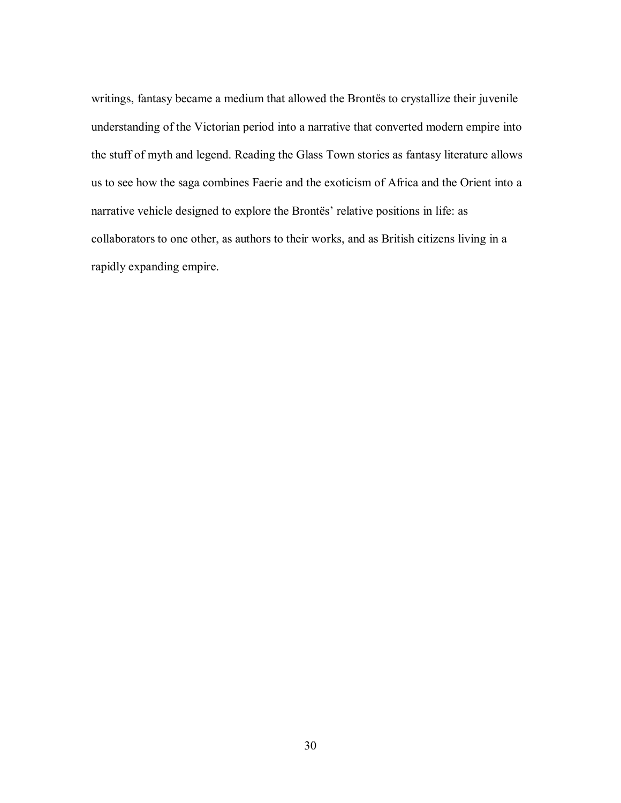writings, fantasy became a medium that allowed the Brontës to crystallize their juvenile understanding of the Victorian period into a narrative that converted modern empire into the stuff of myth and legend. Reading the Glass Town stories as fantasy literature allows us to see how the saga combines Faerie and the exoticism of Africa and the Orient into a narrative vehicle designed to explore the Brontës' relative positions in life: as collaborators to one other, as authors to their works, and as British citizens living in a rapidly expanding empire.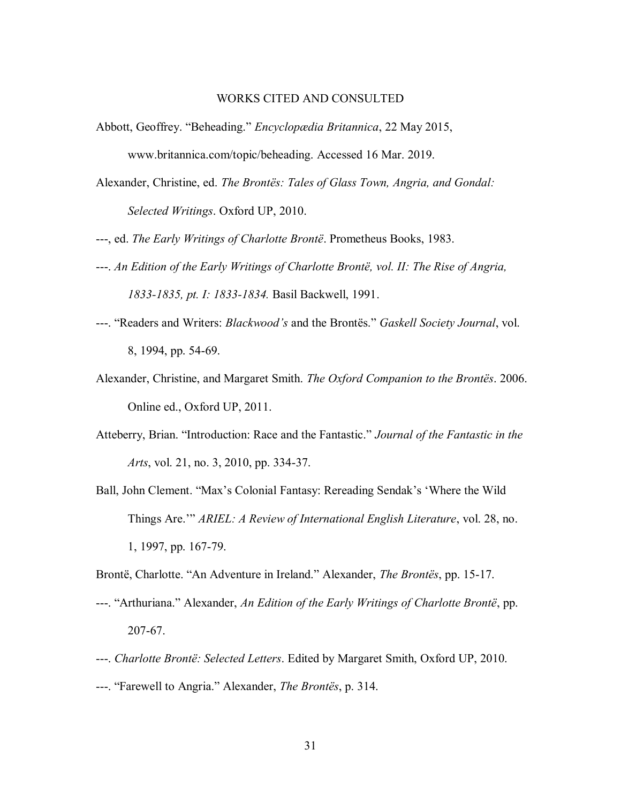#### WORKS CITED AND CONSULTED

- Abbott, Geoffrey. "Beheading." *Encyclopædia Britannica*, 22 May 2015, www.britannica.com/topic/beheading. Accessed 16 Mar. 2019.
- Alexander, Christine, ed. *The Brontës: Tales of Glass Town, Angria, and Gondal: Selected Writings*. Oxford UP, 2010.
- ---, ed. *The Early Writings of Charlotte Brontë*. Prometheus Books, 1983.
- ---. *An Edition of the Early Writings of Charlotte Brontë, vol. II: The Rise of Angria, 1833-1835, pt. I: 1833-1834.* Basil Backwell, 1991.
- ---. "Readers and Writers: *Blackwood's* and the Brontës." *Gaskell Society Journal*, vol. 8, 1994, pp. 54-69.
- Alexander, Christine, and Margaret Smith. *The Oxford Companion to the Brontës*. 2006. Online ed., Oxford UP, 2011.
- Atteberry, Brian. "Introduction: Race and the Fantastic." *Journal of the Fantastic in the Arts*, vol. 21, no. 3, 2010, pp. 334-37.
- Ball, John Clement. "Max's Colonial Fantasy: Rereading Sendak's 'Where the Wild Things Are.'" *ARIEL: A Review of International English Literature*, vol. 28, no. 1, 1997, pp. 167-79.

Brontë, Charlotte. "An Adventure in Ireland." Alexander, *The Brontës*, pp. 15-17.

- ---. "Arthuriana." Alexander, *An Edition of the Early Writings of Charlotte Brontë*, pp. 207-67.
- ---. *Charlotte Brontë: Selected Letters*. Edited by Margaret Smith, Oxford UP, 2010.
- ---. "Farewell to Angria." Alexander, *The Brontës*, p. 314.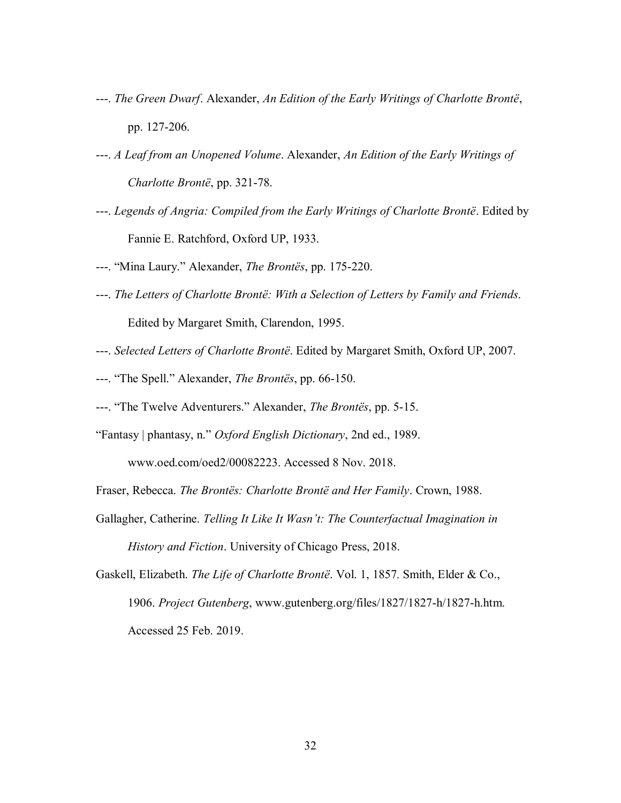- ---. *The Green Dwarf*. Alexander, *An Edition of the Early Writings of Charlotte Brontë*, pp. 127-206.
- ---. *A Leaf from an Unopened Volume*. Alexander, *An Edition of the Early Writings of Charlotte Brontë*, pp. 321-78.
- ---. *Legends of Angria: Compiled from the Early Writings of Charlotte Brontë*. Edited by Fannie E. Ratchford, Oxford UP, 1933.
- ---. "Mina Laury." Alexander, *The Brontës*, pp. 175-220.
- ---. *The Letters of Charlotte Brontë: With a Selection of Letters by Family and Friends*. Edited by Margaret Smith, Clarendon, 1995.
- ---. *Selected Letters of Charlotte Brontë*. Edited by Margaret Smith, Oxford UP, 2007.
- ---. "The Spell." Alexander, *The Brontës*, pp. 66-150.
- ---. "The Twelve Adventurers." Alexander, *The Brontës*, pp. 5-15.
- "Fantasy | phantasy, n." *Oxford English Dictionary*, 2nd ed., 1989.

www.oed.com/oed2/00082223. Accessed 8 Nov. 2018.

Fraser, Rebecca. *The Brontës: Charlotte Brontë and Her Family*. Crown, 1988.

- Gallagher, Catherine. *Telling It Like It Wasn't: The Counterfactual Imagination in History and Fiction*. University of Chicago Press, 2018.
- Gaskell, Elizabeth. *The Life of Charlotte Brontë*. Vol. 1, 1857. Smith, Elder & Co., 1906. *Project Gutenberg*, www.gutenberg.org/files/1827/1827-h/1827-h.htm. Accessed 25 Feb. 2019.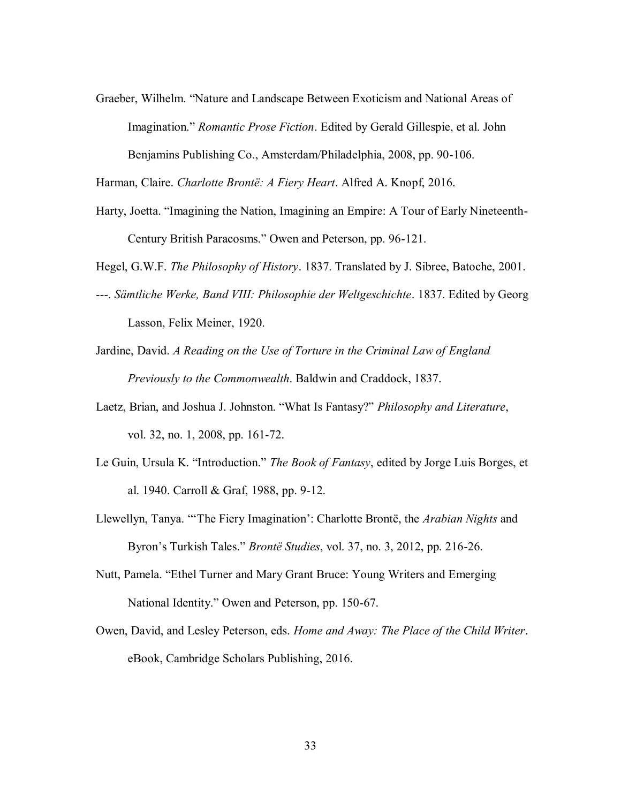Graeber, Wilhelm. "Nature and Landscape Between Exoticism and National Areas of Imagination." *Romantic Prose Fiction*. Edited by Gerald Gillespie, et al. John Benjamins Publishing Co., Amsterdam/Philadelphia, 2008, pp. 90-106.

Harman, Claire. *Charlotte Brontë: A Fiery Heart*. Alfred A. Knopf, 2016.

Harty, Joetta. "Imagining the Nation, Imagining an Empire: A Tour of Early Nineteenth-Century British Paracosms." Owen and Peterson, pp. 96-121.

Hegel, G.W.F. *The Philosophy of History*. 1837. Translated by J. Sibree, Batoche, 2001.

- ---. *Sämtliche Werke, Band VIII: Philosophie der Weltgeschichte*. 1837. Edited by Georg Lasson, Felix Meiner, 1920.
- Jardine, David. *A Reading on the Use of Torture in the Criminal Law of England Previously to the Commonwealth*. Baldwin and Craddock, 1837.
- Laetz, Brian, and Joshua J. Johnston. "What Is Fantasy?" *Philosophy and Literature*, vol. 32, no. 1, 2008, pp. 161-72.
- Le Guin, Ursula K. "Introduction." *The Book of Fantasy*, edited by Jorge Luis Borges, et al. 1940. Carroll & Graf, 1988, pp. 9-12.
- Llewellyn, Tanya. "'The Fiery Imagination': Charlotte Brontë, the *Arabian Nights* and Byron's Turkish Tales." *Brontë Studies*, vol. 37, no. 3, 2012, pp. 216-26.
- Nutt, Pamela. "Ethel Turner and Mary Grant Bruce: Young Writers and Emerging National Identity." Owen and Peterson, pp. 150-67.
- Owen, David, and Lesley Peterson, eds. *Home and Away: The Place of the Child Writer*. eBook, Cambridge Scholars Publishing, 2016.